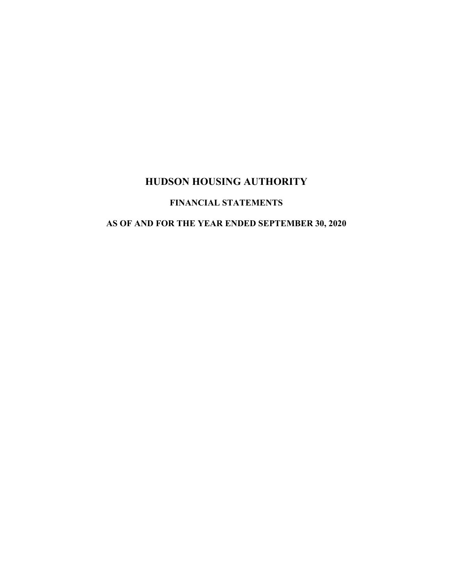## **FINANCIAL STATEMENTS**

## **AS OF AND FOR THE YEAR ENDED SEPTEMBER 30, 2020**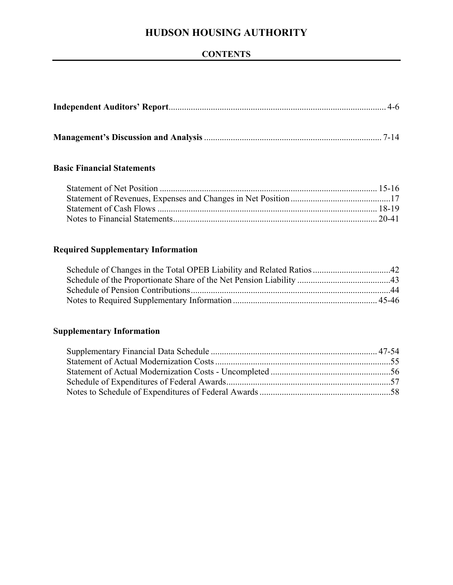## **CONTENTS**

|--|--|--|

## **Basic Financial Statements**

## **Required Supplementary Information**

## **Supplementary Information**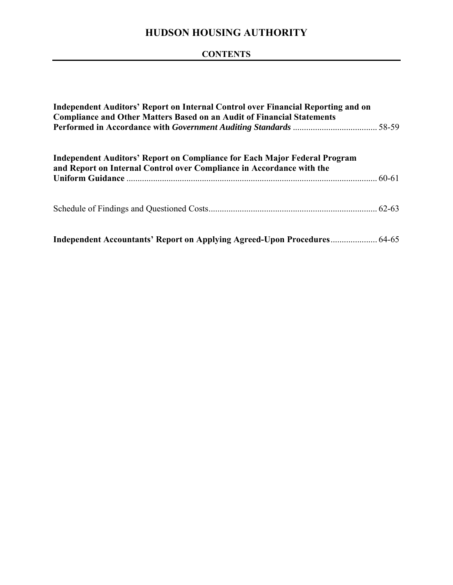## **CONTENTS**

| Independent Auditors' Report on Internal Control over Financial Reporting and on<br><b>Compliance and Other Matters Based on an Audit of Financial Statements</b> |  |
|-------------------------------------------------------------------------------------------------------------------------------------------------------------------|--|
|                                                                                                                                                                   |  |
| Independent Auditors' Report on Compliance for Each Major Federal Program<br>and Report on Internal Control over Compliance in Accordance with the                |  |
|                                                                                                                                                                   |  |
|                                                                                                                                                                   |  |
|                                                                                                                                                                   |  |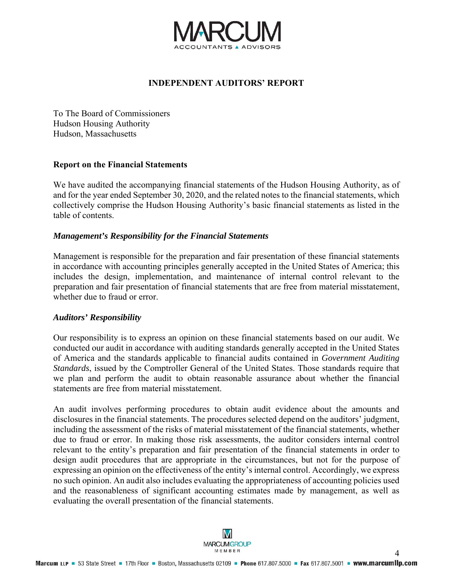

## **INDEPENDENT AUDITORS' REPORT**

To The Board of Commissioners Hudson Housing Authority Hudson, Massachusetts

### **Report on the Financial Statements**

We have audited the accompanying financial statements of the Hudson Housing Authority, as of and for the year ended September 30, 2020, and the related notes to the financial statements, which collectively comprise the Hudson Housing Authority's basic financial statements as listed in the table of contents.

#### *Management's Responsibility for the Financial Statements*

Management is responsible for the preparation and fair presentation of these financial statements in accordance with accounting principles generally accepted in the United States of America; this includes the design, implementation, and maintenance of internal control relevant to the preparation and fair presentation of financial statements that are free from material misstatement, whether due to fraud or error.

### *Auditors' Responsibility*

Our responsibility is to express an opinion on these financial statements based on our audit. We conducted our audit in accordance with auditing standards generally accepted in the United States of America and the standards applicable to financial audits contained in *Government Auditing Standards*, issued by the Comptroller General of the United States. Those standards require that we plan and perform the audit to obtain reasonable assurance about whether the financial statements are free from material misstatement.

An audit involves performing procedures to obtain audit evidence about the amounts and disclosures in the financial statements. The procedures selected depend on the auditors' judgment, including the assessment of the risks of material misstatement of the financial statements, whether due to fraud or error. In making those risk assessments, the auditor considers internal control relevant to the entity's preparation and fair presentation of the financial statements in order to design audit procedures that are appropriate in the circumstances, but not for the purpose of expressing an opinion on the effectiveness of the entity's internal control. Accordingly, we express no such opinion. An audit also includes evaluating the appropriateness of accounting policies used and the reasonableness of significant accounting estimates made by management, as well as evaluating the overall presentation of the financial statements.



4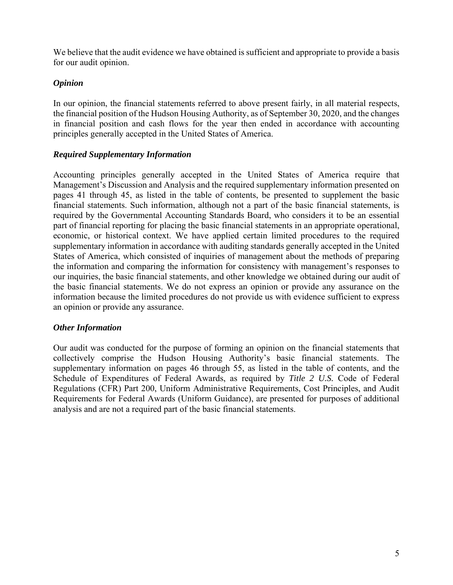We believe that the audit evidence we have obtained is sufficient and appropriate to provide a basis for our audit opinion.

## *Opinion*

In our opinion, the financial statements referred to above present fairly, in all material respects, the financial position of the Hudson Housing Authority, as of September 30, 2020, and the changes in financial position and cash flows for the year then ended in accordance with accounting principles generally accepted in the United States of America.

## *Required Supplementary Information*

Accounting principles generally accepted in the United States of America require that Management's Discussion and Analysis and the required supplementary information presented on pages 41 through 45, as listed in the table of contents, be presented to supplement the basic financial statements. Such information, although not a part of the basic financial statements, is required by the Governmental Accounting Standards Board, who considers it to be an essential part of financial reporting for placing the basic financial statements in an appropriate operational, economic, or historical context. We have applied certain limited procedures to the required supplementary information in accordance with auditing standards generally accepted in the United States of America, which consisted of inquiries of management about the methods of preparing the information and comparing the information for consistency with management's responses to our inquiries, the basic financial statements, and other knowledge we obtained during our audit of the basic financial statements. We do not express an opinion or provide any assurance on the information because the limited procedures do not provide us with evidence sufficient to express an opinion or provide any assurance.

## *Other Information*

Our audit was conducted for the purpose of forming an opinion on the financial statements that collectively comprise the Hudson Housing Authority's basic financial statements. The supplementary information on pages 46 through 55, as listed in the table of contents, and the Schedule of Expenditures of Federal Awards, as required by *Title 2 U.S.* Code of Federal Regulations (CFR) Part 200, Uniform Administrative Requirements, Cost Principles, and Audit Requirements for Federal Awards (Uniform Guidance), are presented for purposes of additional analysis and are not a required part of the basic financial statements.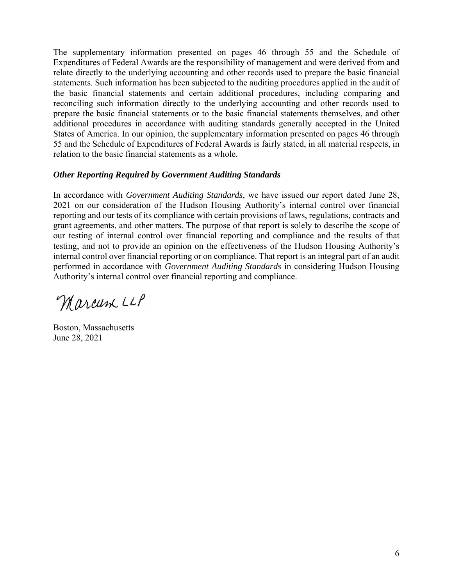The supplementary information presented on pages 46 through 55 and the Schedule of Expenditures of Federal Awards are the responsibility of management and were derived from and relate directly to the underlying accounting and other records used to prepare the basic financial statements. Such information has been subjected to the auditing procedures applied in the audit of the basic financial statements and certain additional procedures, including comparing and reconciling such information directly to the underlying accounting and other records used to prepare the basic financial statements or to the basic financial statements themselves, and other additional procedures in accordance with auditing standards generally accepted in the United States of America. In our opinion, the supplementary information presented on pages 46 through 55 and the Schedule of Expenditures of Federal Awards is fairly stated, in all material respects, in relation to the basic financial statements as a whole.

## *Other Reporting Required by Government Auditing Standards*

In accordance with *Government Auditing Standards*, we have issued our report dated June 28, 2021 on our consideration of the Hudson Housing Authority's internal control over financial reporting and our tests of its compliance with certain provisions of laws, regulations, contracts and grant agreements, and other matters. The purpose of that report is solely to describe the scope of our testing of internal control over financial reporting and compliance and the results of that testing, and not to provide an opinion on the effectiveness of the Hudson Housing Authority's internal control over financial reporting or on compliance. That report is an integral part of an audit performed in accordance with *Government Auditing Standards* in considering Hudson Housing Authority's internal control over financial reporting and compliance.

Marcum LLP

Boston, Massachusetts June 28, 2021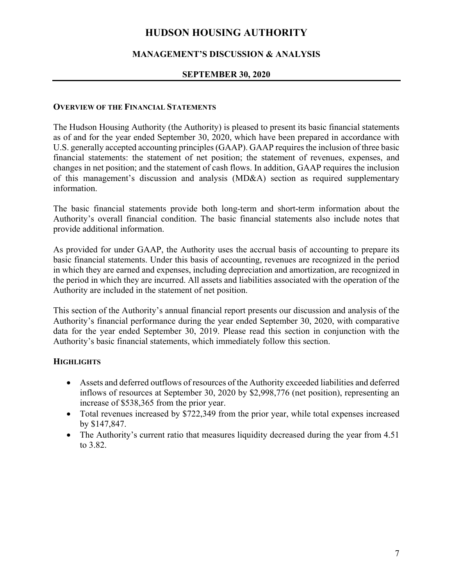## **MANAGEMENT'S DISCUSSION & ANALYSIS**

### **SEPTEMBER 30, 2020**

#### **OVERVIEW OF THE FINANCIAL STATEMENTS**

The Hudson Housing Authority (the Authority) is pleased to present its basic financial statements as of and for the year ended September 30, 2020, which have been prepared in accordance with U.S. generally accepted accounting principles (GAAP). GAAP requires the inclusion of three basic financial statements: the statement of net position; the statement of revenues, expenses, and changes in net position; and the statement of cash flows. In addition, GAAP requires the inclusion of this management's discussion and analysis (MD&A) section as required supplementary information.

The basic financial statements provide both long-term and short-term information about the Authority's overall financial condition. The basic financial statements also include notes that provide additional information.

As provided for under GAAP, the Authority uses the accrual basis of accounting to prepare its basic financial statements. Under this basis of accounting, revenues are recognized in the period in which they are earned and expenses, including depreciation and amortization, are recognized in the period in which they are incurred. All assets and liabilities associated with the operation of the Authority are included in the statement of net position.

This section of the Authority's annual financial report presents our discussion and analysis of the Authority's financial performance during the year ended September 30, 2020, with comparative data for the year ended September 30, 2019. Please read this section in conjunction with the Authority's basic financial statements, which immediately follow this section.

## **HIGHLIGHTS**

- Assets and deferred outflows of resources of the Authority exceeded liabilities and deferred inflows of resources at September 30, 2020 by \$2,998,776 (net position), representing an increase of \$538,365 from the prior year.
- Total revenues increased by \$722,349 from the prior year, while total expenses increased by \$147,847.
- The Authority's current ratio that measures liquidity decreased during the year from 4.51 to 3.82.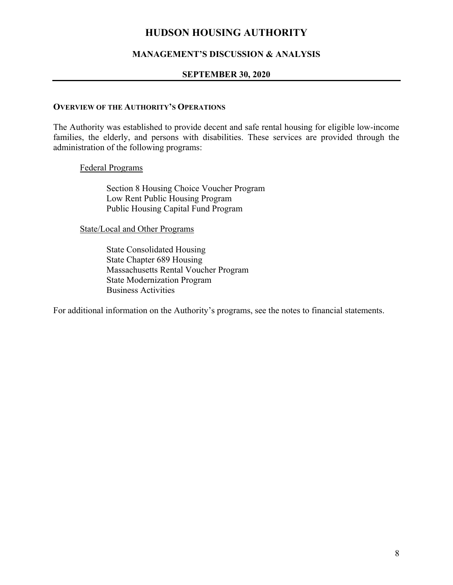#### **MANAGEMENT'S DISCUSSION & ANALYSIS**

#### **SEPTEMBER 30, 2020**

#### **OVERVIEW OF THE AUTHORITY'S OPERATIONS**

The Authority was established to provide decent and safe rental housing for eligible low-income families, the elderly, and persons with disabilities. These services are provided through the administration of the following programs:

#### Federal Programs

Section 8 Housing Choice Voucher Program Low Rent Public Housing Program Public Housing Capital Fund Program

#### State/Local and Other Programs

State Consolidated Housing State Chapter 689 Housing Massachusetts Rental Voucher Program State Modernization Program Business Activities

For additional information on the Authority's programs, see the notes to financial statements.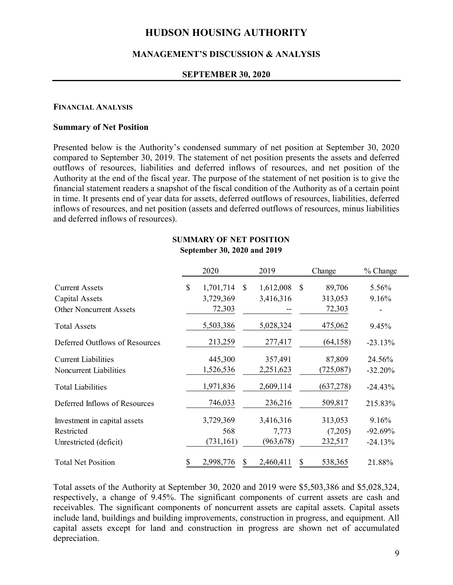### **MANAGEMENT'S DISCUSSION & ANALYSIS**

#### **SEPTEMBER 30, 2020**

#### **FINANCIAL ANALYSIS**

#### **Summary of Net Position**

Presented below is the Authority's condensed summary of net position at September 30, 2020 compared to September 30, 2019. The statement of net position presents the assets and deferred outflows of resources, liabilities and deferred inflows of resources, and net position of the Authority at the end of the fiscal year. The purpose of the statement of net position is to give the financial statement readers a snapshot of the fiscal condition of the Authority as of a certain point in time. It presents end of year data for assets, deferred outflows of resources, liabilities, deferred inflows of resources, and net position (assets and deferred outflows of resources, minus liabilities and deferred inflows of resources).

|                                | 2020            |    | 2019       |               | Change     | % Change  |
|--------------------------------|-----------------|----|------------|---------------|------------|-----------|
| <b>Current Assets</b>          | \$<br>1,701,714 | S. | 1,612,008  | <sup>\$</sup> | 89,706     | 5.56%     |
| Capital Assets                 | 3,729,369       |    | 3,416,316  |               | 313,053    | 9.16%     |
| <b>Other Noncurrent Assets</b> | 72,303          |    |            |               | 72,303     |           |
| <b>Total Assets</b>            | 5,503,386       |    | 5,028,324  |               | 475,062    | 9.45%     |
| Deferred Outflows of Resources | 213,259         |    | 277,417    |               | (64, 158)  | $-23.13%$ |
| <b>Current Liabilities</b>     | 445,300         |    | 357,491    |               | 87,809     | 24.56%    |
| <b>Noncurrent Liabilities</b>  | 1,526,536       |    | 2,251,623  |               | (725,087)  | $-32.20%$ |
| <b>Total Liabilities</b>       | 1,971,836       |    | 2,609,114  |               | (637, 278) | $-24.43%$ |
| Deferred Inflows of Resources  | 746,033         |    | 236,216    |               | 509,817    | 215.83%   |
| Investment in capital assets   | 3,729,369       |    | 3,416,316  |               | 313,053    | 9.16%     |
| Restricted                     | 568             |    | 7,773      |               | (7,205)    | $-92.69%$ |
| Unrestricted (deficit)         | (731, 161)      |    | (963, 678) |               | 232,517    | $-24.13%$ |
| <b>Total Net Position</b>      | \$<br>2,998,776 | S  | 2,460,411  | \$            | 538,365    | 21.88%    |

#### **SUMMARY OF NET POSITION September 30, 2020 and 2019**

Total assets of the Authority at September 30, 2020 and 2019 were \$5,503,386 and \$5,028,324, respectively, a change of 9.45%. The significant components of current assets are cash and receivables. The significant components of noncurrent assets are capital assets. Capital assets include land, buildings and building improvements, construction in progress, and equipment. All capital assets except for land and construction in progress are shown net of accumulated depreciation.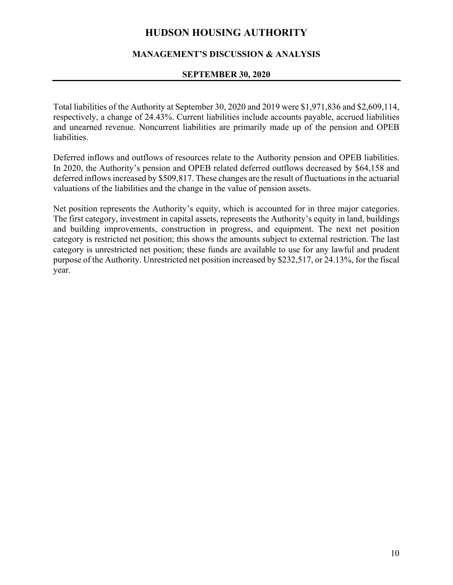## **MANAGEMENT'S DISCUSSION & ANALYSIS**

#### **SEPTEMBER 30, 2020**

Total liabilities of the Authority at September 30, 2020 and 2019 were \$1,971,836 and \$2,609,114, respectively, a change of 24.43%. Current liabilities include accounts payable, accrued liabilities and unearned revenue. Noncurrent liabilities are primarily made up of the pension and OPEB liabilities.

Deferred inflows and outflows of resources relate to the Authority pension and OPEB liabilities. In 2020, the Authority's pension and OPEB related deferred outflows decreased by \$64,158 and deferred inflows increased by \$509,817. These changes are the result of fluctuations in the actuarial valuations of the liabilities and the change in the value of pension assets.

Net position represents the Authority's equity, which is accounted for in three major categories. The first category, investment in capital assets, represents the Authority's equity in land, buildings and building improvements, construction in progress, and equipment. The next net position category is restricted net position; this shows the amounts subject to external restriction. The last category is unrestricted net position; these funds are available to use for any lawful and prudent purpose of the Authority. Unrestricted net position increased by \$232,517, or 24.13%, for the fiscal year.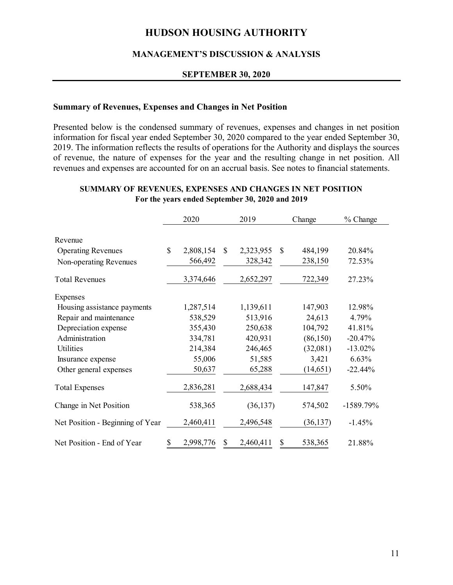## **MANAGEMENT'S DISCUSSION & ANALYSIS**

#### **SEPTEMBER 30, 2020**

#### **Summary of Revenues, Expenses and Changes in Net Position**

Presented below is the condensed summary of revenues, expenses and changes in net position information for fiscal year ended September 30, 2020 compared to the year ended September 30, 2019. The information reflects the results of operations for the Authority and displays the sources of revenue, the nature of expenses for the year and the resulting change in net position. All revenues and expenses are accounted for on an accrual basis. See notes to financial statements.

#### **SUMMARY OF REVENUES, EXPENSES AND CHANGES IN NET POSITION For the years ended September 30, 2020 and 2019**

|                                  | 2020            |               | 2019      |               | Change    | % Change    |
|----------------------------------|-----------------|---------------|-----------|---------------|-----------|-------------|
|                                  |                 |               |           |               |           |             |
| Revenue                          |                 |               |           |               |           |             |
| <b>Operating Revenues</b>        | \$<br>2,808,154 | <sup>\$</sup> | 2,323,955 | <sup>\$</sup> | 484,199   | 20.84%      |
| Non-operating Revenues           | 566,492         |               | 328,342   |               | 238,150   | 72.53%      |
| <b>Total Revenues</b>            | 3,374,646       |               | 2,652,297 |               | 722,349   | 27.23%      |
| Expenses                         |                 |               |           |               |           |             |
| Housing assistance payments      | 1,287,514       |               | 1,139,611 |               | 147,903   | 12.98%      |
| Repair and maintenance           | 538,529         |               | 513,916   |               | 24,613    | 4.79%       |
| Depreciation expense             | 355,430         |               | 250,638   |               | 104,792   | 41.81%      |
| Administration                   | 334,781         |               | 420,931   |               | (86,150)  | $-20.47%$   |
| <b>Utilities</b>                 | 214,384         |               | 246,465   |               | (32,081)  | $-13.02%$   |
| Insurance expense                | 55,006          |               | 51,585    |               | 3,421     | 6.63%       |
| Other general expenses           | 50,637          |               | 65,288    |               | (14, 651) | $-22.44%$   |
| <b>Total Expenses</b>            | 2,836,281       |               | 2,688,434 |               | 147,847   | 5.50%       |
| Change in Net Position           | 538,365         |               | (36, 137) |               | 574,502   | $-1589.79%$ |
| Net Position - Beginning of Year | 2,460,411       |               | 2,496,548 |               | (36, 137) | $-1.45%$    |
| Net Position - End of Year       | \$<br>2,998,776 |               | 2,460,411 | S             | 538,365   | 21.88%      |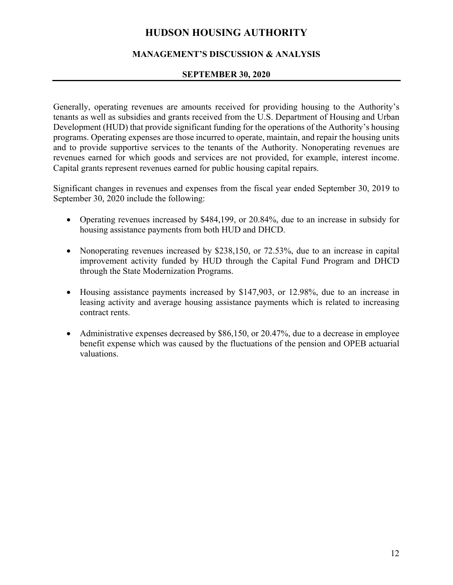## **MANAGEMENT'S DISCUSSION & ANALYSIS**

## **SEPTEMBER 30, 2020**

Generally, operating revenues are amounts received for providing housing to the Authority's tenants as well as subsidies and grants received from the U.S. Department of Housing and Urban Development (HUD) that provide significant funding for the operations of the Authority's housing programs. Operating expenses are those incurred to operate, maintain, and repair the housing units and to provide supportive services to the tenants of the Authority. Nonoperating revenues are revenues earned for which goods and services are not provided, for example, interest income. Capital grants represent revenues earned for public housing capital repairs.

Significant changes in revenues and expenses from the fiscal year ended September 30, 2019 to September 30, 2020 include the following:

- Operating revenues increased by \$484,199, or 20.84%, due to an increase in subsidy for housing assistance payments from both HUD and DHCD.
- Nonoperating revenues increased by \$238,150, or 72.53%, due to an increase in capital improvement activity funded by HUD through the Capital Fund Program and DHCD through the State Modernization Programs.
- Housing assistance payments increased by \$147,903, or 12.98%, due to an increase in leasing activity and average housing assistance payments which is related to increasing contract rents.
- Administrative expenses decreased by  $$86,150$ , or  $20.47\%$ , due to a decrease in employee benefit expense which was caused by the fluctuations of the pension and OPEB actuarial valuations.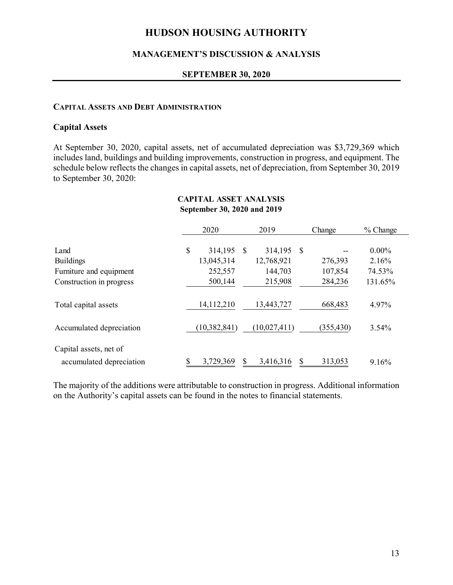### **MANAGEMENT'S DISCUSSION & ANALYSIS**

#### **SEPTEMBER 30, 2020**

#### **CAPITAL ASSETS AND DEBT ADMINISTRATION**

#### **Capital Assets**

At September 30, 2020, capital assets, net of accumulated depreciation was \$3,729,369 which includes land, buildings and building improvements, construction in progress, and equipment. The schedule below reflects the changes in capital assets, net of depreciation, from September 30, 2019 to September 30, 2020:

|                          | September 30, 2020 and 2019 |                 |          |            |            |  |
|--------------------------|-----------------------------|-----------------|----------|------------|------------|--|
|                          | 2020                        | 2019            |          | Change     | $%$ Change |  |
|                          |                             |                 |          |            |            |  |
| Land                     | \$<br>314,195 \$            | 314,195         | <b>S</b> |            | $0.00\%$   |  |
| <b>Buildings</b>         | 13,045,314                  | 12,768,921      |          | 276,393    | 2.16%      |  |
| Furniture and equipment  | 252,557                     | 144,703         |          | 107,854    | 74.53%     |  |
| Construction in progress | 500,144                     | 215,908         |          | 284,236    | 131.65%    |  |
| Total capital assets     | 14,112,210                  | 13,443,727      |          | 668,483    | 4.97%      |  |
| Accumulated depreciation | (10, 382, 841)              | (10,027,411)    |          | (355, 430) | 3.54%      |  |
| Capital assets, net of   |                             |                 |          |            |            |  |
| accumulated depreciation | \$<br>3,729,369             | \$<br>3,416,316 | S        | 313,053    | 9.16%      |  |

The majority of the additions were attributable to construction in progress. Additional information on the Authority's capital assets can be found in the notes to financial statements.

### **CAPITAL ASSET ANALYSIS September 30, 2020 and 2019**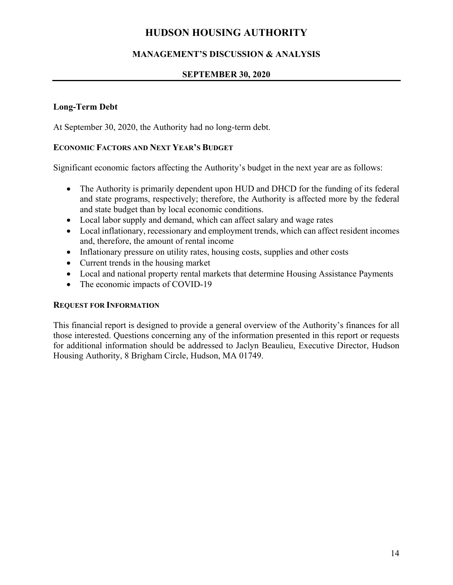## **MANAGEMENT'S DISCUSSION & ANALYSIS**

## **SEPTEMBER 30, 2020**

### **Long-Term Debt**

At September 30, 2020, the Authority had no long-term debt.

### **ECONOMIC FACTORS AND NEXT YEAR'S BUDGET**

Significant economic factors affecting the Authority's budget in the next year are as follows:

- The Authority is primarily dependent upon HUD and DHCD for the funding of its federal and state programs, respectively; therefore, the Authority is affected more by the federal and state budget than by local economic conditions.
- Local labor supply and demand, which can affect salary and wage rates
- Local inflationary, recessionary and employment trends, which can affect resident incomes and, therefore, the amount of rental income
- Inflationary pressure on utility rates, housing costs, supplies and other costs
- Current trends in the housing market
- Local and national property rental markets that determine Housing Assistance Payments
- The economic impacts of COVID-19

### **REQUEST FOR INFORMATION**

This financial report is designed to provide a general overview of the Authority's finances for all those interested. Questions concerning any of the information presented in this report or requests for additional information should be addressed to Jaclyn Beaulieu, Executive Director, Hudson Housing Authority, 8 Brigham Circle, Hudson, MA 01749.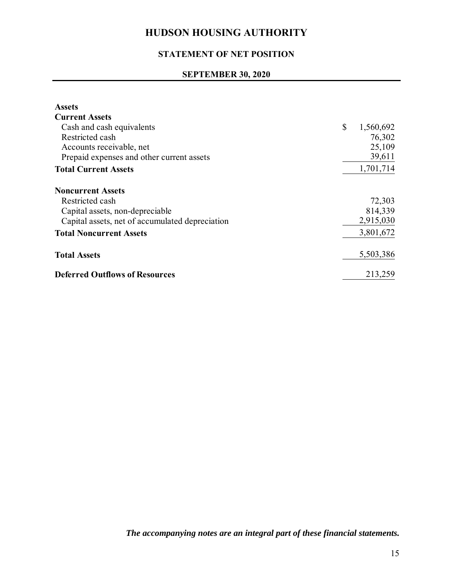## **STATEMENT OF NET POSITION**

## **SEPTEMBER 30, 2020**

| <b>Assets</b>                                   |                           |
|-------------------------------------------------|---------------------------|
| <b>Current Assets</b>                           |                           |
| Cash and cash equivalents                       | $\mathbb{S}$<br>1,560,692 |
| Restricted cash                                 | 76,302                    |
| Accounts receivable, net                        | 25,109                    |
| Prepaid expenses and other current assets       | 39,611                    |
| <b>Total Current Assets</b>                     | 1,701,714                 |
| <b>Noncurrent Assets</b>                        |                           |
| Restricted cash                                 | 72,303                    |
| Capital assets, non-depreciable                 | 814,339                   |
| Capital assets, net of accumulated depreciation | 2,915,030                 |
| <b>Total Noncurrent Assets</b>                  | 3,801,672                 |
| <b>Total Assets</b>                             | 5,503,386                 |
| <b>Deferred Outflows of Resources</b>           | 213,259                   |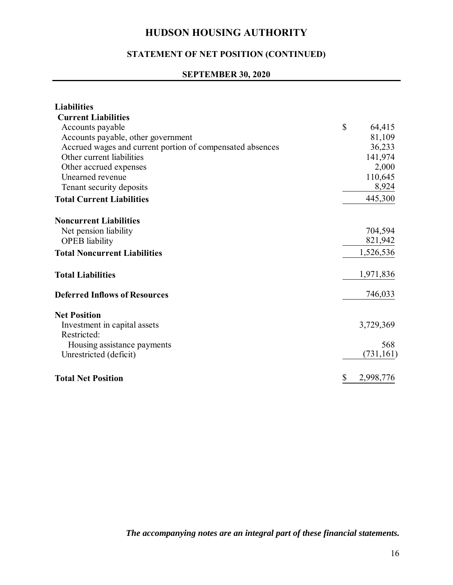## **STATEMENT OF NET POSITION (CONTINUED)**

## **SEPTEMBER 30, 2020**

| <b>Liabilities</b>                                        |              |
|-----------------------------------------------------------|--------------|
| <b>Current Liabilities</b>                                |              |
| Accounts payable                                          | \$<br>64,415 |
| Accounts payable, other government                        | 81,109       |
| Accrued wages and current portion of compensated absences | 36,233       |
| Other current liabilities                                 | 141,974      |
| Other accrued expenses                                    | 2,000        |
| Unearned revenue                                          | 110,645      |
| Tenant security deposits                                  | 8,924        |
| <b>Total Current Liabilities</b>                          | 445,300      |
| <b>Noncurrent Liabilities</b>                             |              |
| Net pension liability                                     | 704,594      |
| <b>OPEB</b> liability                                     | 821,942      |
| <b>Total Noncurrent Liabilities</b>                       | 1,526,536    |
| <b>Total Liabilities</b>                                  | 1,971,836    |
| <b>Deferred Inflows of Resources</b>                      | 746,033      |
| <b>Net Position</b>                                       |              |
| Investment in capital assets                              | 3,729,369    |
| Restricted:                                               |              |
| Housing assistance payments                               | 568          |
| Unrestricted (deficit)                                    | (731, 161)   |
| <b>Total Net Position</b>                                 | 2,998,776    |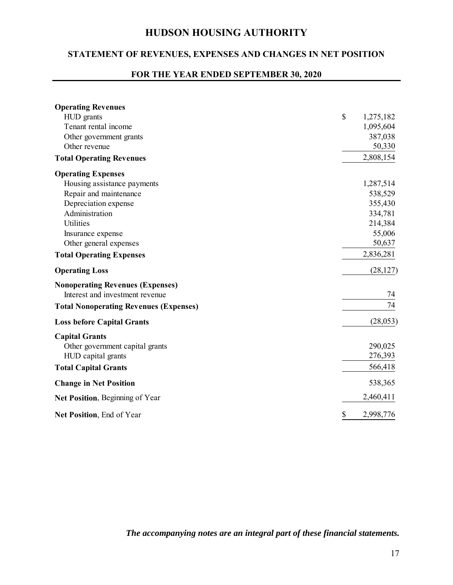## **STATEMENT OF REVENUES, EXPENSES AND CHANGES IN NET POSITION**

## **FOR THE YEAR ENDED SEPTEMBER 30, 2020**

| <b>Operating Revenues</b>                     |                 |
|-----------------------------------------------|-----------------|
| HUD grants                                    | \$<br>1,275,182 |
| Tenant rental income                          | 1,095,604       |
| Other government grants                       | 387,038         |
| Other revenue                                 | 50,330          |
| <b>Total Operating Revenues</b>               | 2,808,154       |
| <b>Operating Expenses</b>                     |                 |
| Housing assistance payments                   | 1,287,514       |
| Repair and maintenance                        | 538,529         |
| Depreciation expense                          | 355,430         |
| Administration                                | 334,781         |
| <b>Utilities</b>                              | 214,384         |
| Insurance expense                             | 55,006          |
| Other general expenses                        | 50,637          |
| <b>Total Operating Expenses</b>               | 2,836,281       |
| <b>Operating Loss</b>                         | (28, 127)       |
| <b>Nonoperating Revenues (Expenses)</b>       |                 |
| Interest and investment revenue               | 74              |
| <b>Total Nonoperating Revenues (Expenses)</b> | 74              |
| <b>Loss before Capital Grants</b>             | (28, 053)       |
| <b>Capital Grants</b>                         |                 |
| Other government capital grants               | 290,025         |
| HUD capital grants                            | 276,393         |
| <b>Total Capital Grants</b>                   | 566,418         |
| <b>Change in Net Position</b>                 | 538,365         |
| Net Position, Beginning of Year               | 2,460,411       |
| Net Position, End of Year                     | \$<br>2,998,776 |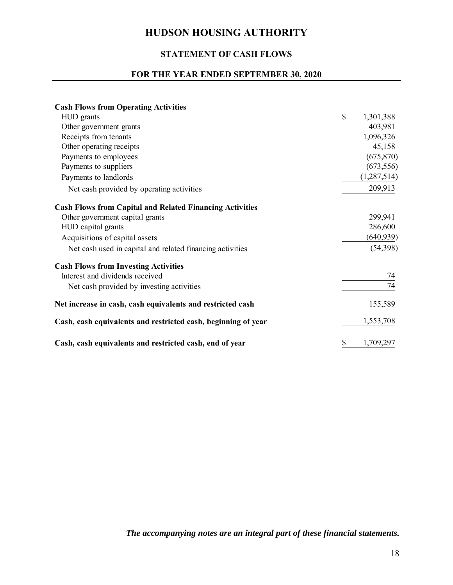## **STATEMENT OF CASH FLOWS**

## **FOR THE YEAR ENDED SEPTEMBER 30, 2020**

## **Cash Flows from Operating Activities**

| Cash, cash equivalents and restricted cash, end of year                        | \$<br>1,709,297 |
|--------------------------------------------------------------------------------|-----------------|
| Cash, cash equivalents and restricted cash, beginning of year                  | 1,553,708       |
| Net increase in cash, cash equivalents and restricted cash                     | 155,589         |
| Net cash provided by investing activities                                      | 74              |
| <b>Cash Flows from Investing Activities</b><br>Interest and dividends received | 74              |
| Net cash used in capital and related financing activities                      | (54,398)        |
| Acquisitions of capital assets                                                 | (640, 939)      |
| HUD capital grants                                                             | 286,600         |
| Other government capital grants                                                | 299,941         |
| <b>Cash Flows from Capital and Related Financing Activities</b>                |                 |
| Net cash provided by operating activities                                      | 209,913         |
| Payments to landlords                                                          | (1, 287, 514)   |
| Payments to suppliers                                                          | (673, 556)      |
| Payments to employees                                                          | (675, 870)      |
| Other operating receipts                                                       | 45,158          |
| Receipts from tenants                                                          | 1,096,326       |
| Other government grants                                                        | 403,981         |
| HUD grants                                                                     | \$<br>1,301,388 |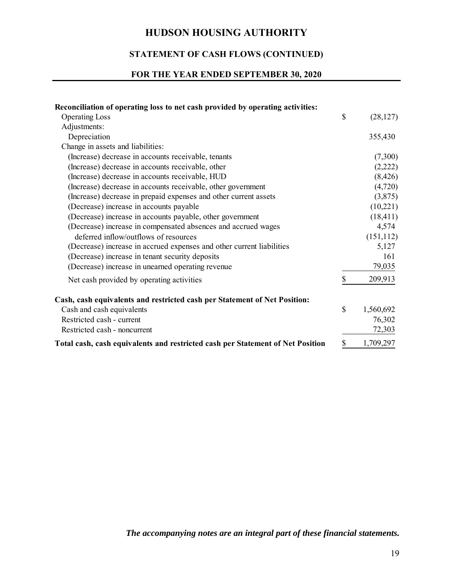## **STATEMENT OF CASH FLOWS (CONTINUED)**

## **FOR THE YEAR ENDED SEPTEMBER 30, 2020**

| Reconciliation of operating loss to net cash provided by operating activities: |              |            |
|--------------------------------------------------------------------------------|--------------|------------|
| <b>Operating Loss</b>                                                          | $\mathbb{S}$ | (28, 127)  |
| Adjustments:                                                                   |              |            |
| Depreciation                                                                   |              | 355,430    |
| Change in assets and liabilities:                                              |              |            |
| (Increase) decrease in accounts receivable, tenants                            |              | (7,300)    |
| (Increase) decrease in accounts receivable, other                              |              | (2,222)    |
| (Increase) decrease in accounts receivable, HUD                                |              | (8, 426)   |
| (Increase) decrease in accounts receivable, other government                   |              | (4,720)    |
| (Increase) decrease in prepaid expenses and other current assets               |              | (3,875)    |
| (Decrease) increase in accounts payable                                        |              | (10,221)   |
| (Decrease) increase in accounts payable, other government                      |              | (18, 411)  |
| (Decrease) increase in compensated absences and accrued wages                  |              | 4,574      |
| deferred inflow/outflows of resources                                          |              | (151, 112) |
| (Decrease) increase in accrued expenses and other current liabilities          |              | 5,127      |
| (Decrease) increase in tenant security deposits                                |              | 161        |
| (Decrease) increase in unearned operating revenue                              |              | 79,035     |
| Net cash provided by operating activities                                      | \$           | 209,913    |
| Cash, cash equivalents and restricted cash per Statement of Net Position:      |              |            |
| Cash and cash equivalents                                                      | $\mathbb{S}$ | 1,560,692  |
| Restricted cash - current                                                      |              | 76,302     |
| Restricted cash - noncurrent                                                   |              | 72,303     |
| Total cash, cash equivalents and restricted cash per Statement of Net Position | \$           | 1,709,297  |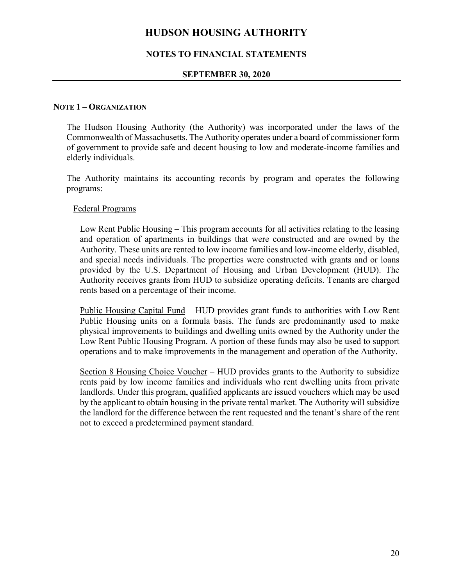### **NOTES TO FINANCIAL STATEMENTS**

#### **SEPTEMBER 30, 2020**

#### **NOTE 1 – ORGANIZATION**

The Hudson Housing Authority (the Authority) was incorporated under the laws of the Commonwealth of Massachusetts. The Authority operates under a board of commissioner form of government to provide safe and decent housing to low and moderate-income families and elderly individuals.

The Authority maintains its accounting records by program and operates the following programs:

#### Federal Programs

Low Rent Public Housing – This program accounts for all activities relating to the leasing and operation of apartments in buildings that were constructed and are owned by the Authority. These units are rented to low income families and low-income elderly, disabled, and special needs individuals. The properties were constructed with grants and or loans provided by the U.S. Department of Housing and Urban Development (HUD). The Authority receives grants from HUD to subsidize operating deficits. Tenants are charged rents based on a percentage of their income.

Public Housing Capital Fund – HUD provides grant funds to authorities with Low Rent Public Housing units on a formula basis. The funds are predominantly used to make physical improvements to buildings and dwelling units owned by the Authority under the Low Rent Public Housing Program. A portion of these funds may also be used to support operations and to make improvements in the management and operation of the Authority.

Section 8 Housing Choice Voucher – HUD provides grants to the Authority to subsidize rents paid by low income families and individuals who rent dwelling units from private landlords. Under this program, qualified applicants are issued vouchers which may be used by the applicant to obtain housing in the private rental market. The Authority will subsidize the landlord for the difference between the rent requested and the tenant's share of the rent not to exceed a predetermined payment standard.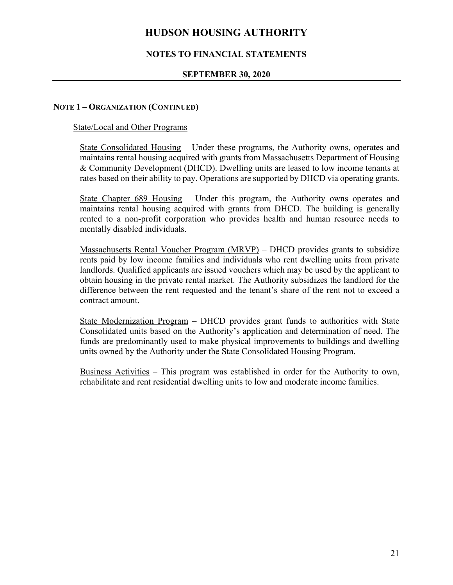## **NOTES TO FINANCIAL STATEMENTS**

#### **SEPTEMBER 30, 2020**

#### **NOTE 1 – ORGANIZATION (CONTINUED)**

#### State/Local and Other Programs

State Consolidated Housing – Under these programs, the Authority owns, operates and maintains rental housing acquired with grants from Massachusetts Department of Housing & Community Development (DHCD). Dwelling units are leased to low income tenants at rates based on their ability to pay. Operations are supported by DHCD via operating grants.

State Chapter 689 Housing – Under this program, the Authority owns operates and maintains rental housing acquired with grants from DHCD. The building is generally rented to a non-profit corporation who provides health and human resource needs to mentally disabled individuals.

Massachusetts Rental Voucher Program (MRVP) – DHCD provides grants to subsidize rents paid by low income families and individuals who rent dwelling units from private landlords. Qualified applicants are issued vouchers which may be used by the applicant to obtain housing in the private rental market. The Authority subsidizes the landlord for the difference between the rent requested and the tenant's share of the rent not to exceed a contract amount.

State Modernization Program – DHCD provides grant funds to authorities with State Consolidated units based on the Authority's application and determination of need. The funds are predominantly used to make physical improvements to buildings and dwelling units owned by the Authority under the State Consolidated Housing Program.

Business Activities – This program was established in order for the Authority to own, rehabilitate and rent residential dwelling units to low and moderate income families.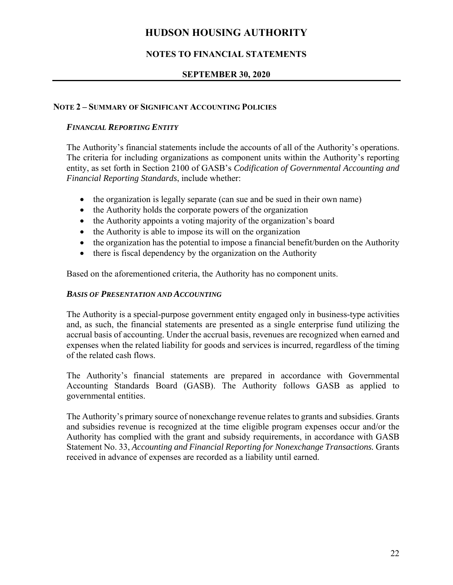## **NOTES TO FINANCIAL STATEMENTS**

## **SEPTEMBER 30, 2020**

#### **NOTE 2 – SUMMARY OF SIGNIFICANT ACCOUNTING POLICIES**

#### *FINANCIAL REPORTING ENTITY*

The Authority's financial statements include the accounts of all of the Authority's operations. The criteria for including organizations as component units within the Authority's reporting entity, as set forth in Section 2100 of GASB's *Codification of Governmental Accounting and Financial Reporting Standards*, include whether:

- the organization is legally separate (can sue and be sued in their own name)
- the Authority holds the corporate powers of the organization
- the Authority appoints a voting majority of the organization's board
- the Authority is able to impose its will on the organization
- the organization has the potential to impose a financial benefit/burden on the Authority
- there is fiscal dependency by the organization on the Authority

Based on the aforementioned criteria, the Authority has no component units.

#### *BASIS OF PRESENTATION AND ACCOUNTING*

The Authority is a special-purpose government entity engaged only in business-type activities and, as such, the financial statements are presented as a single enterprise fund utilizing the accrual basis of accounting. Under the accrual basis, revenues are recognized when earned and expenses when the related liability for goods and services is incurred, regardless of the timing of the related cash flows.

The Authority's financial statements are prepared in accordance with Governmental Accounting Standards Board (GASB). The Authority follows GASB as applied to governmental entities.

The Authority's primary source of nonexchange revenue relates to grants and subsidies. Grants and subsidies revenue is recognized at the time eligible program expenses occur and/or the Authority has complied with the grant and subsidy requirements, in accordance with GASB Statement No. 33, *Accounting and Financial Reporting for Nonexchange Transactions.* Grants received in advance of expenses are recorded as a liability until earned.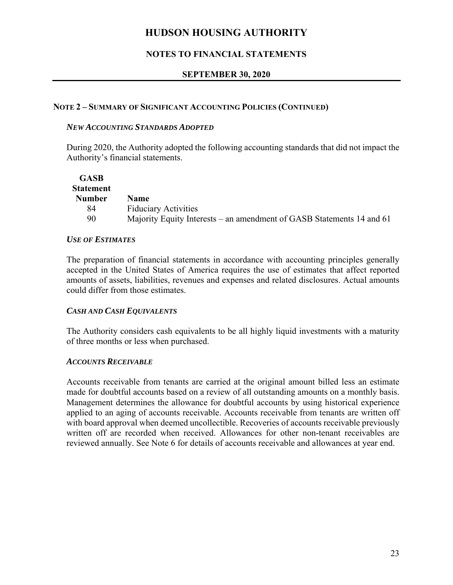## **NOTES TO FINANCIAL STATEMENTS**

## **SEPTEMBER 30, 2020**

### **NOTE 2 – SUMMARY OF SIGNIFICANT ACCOUNTING POLICIES (CONTINUED)**

#### *NEW ACCOUNTING STANDARDS ADOPTED*

During 2020, the Authority adopted the following accounting standards that did not impact the Authority's financial statements.

| <b>GASB</b><br>Statement |                                                                       |
|--------------------------|-----------------------------------------------------------------------|
| <b>Number</b>            | <b>Name</b>                                                           |
| 84                       | <b>Fiduciary Activities</b>                                           |
| 90                       | Majority Equity Interests – an amendment of GASB Statements 14 and 61 |

### *USE OF ESTIMATES*

The preparation of financial statements in accordance with accounting principles generally accepted in the United States of America requires the use of estimates that affect reported amounts of assets, liabilities, revenues and expenses and related disclosures. Actual amounts could differ from those estimates.

### *CASH AND CASH EQUIVALENTS*

The Authority considers cash equivalents to be all highly liquid investments with a maturity of three months or less when purchased.

### *ACCOUNTS RECEIVABLE*

Accounts receivable from tenants are carried at the original amount billed less an estimate made for doubtful accounts based on a review of all outstanding amounts on a monthly basis. Management determines the allowance for doubtful accounts by using historical experience applied to an aging of accounts receivable. Accounts receivable from tenants are written off with board approval when deemed uncollectible. Recoveries of accounts receivable previously written off are recorded when received. Allowances for other non-tenant receivables are reviewed annually. See Note 6 for details of accounts receivable and allowances at year end.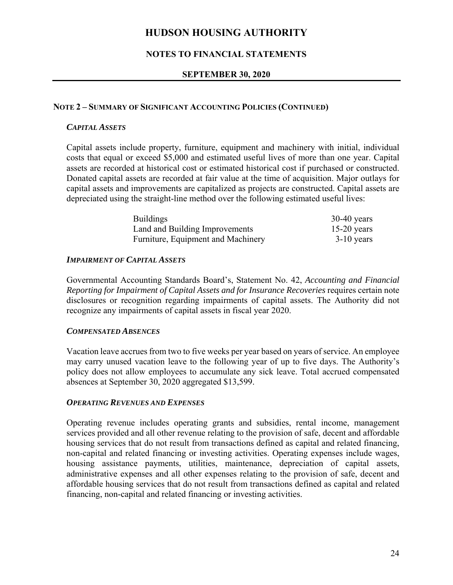## **NOTES TO FINANCIAL STATEMENTS**

## **SEPTEMBER 30, 2020**

### **NOTE 2 – SUMMARY OF SIGNIFICANT ACCOUNTING POLICIES (CONTINUED)**

#### *CAPITAL ASSETS*

Capital assets include property, furniture, equipment and machinery with initial, individual costs that equal or exceed \$5,000 and estimated useful lives of more than one year. Capital assets are recorded at historical cost or estimated historical cost if purchased or constructed. Donated capital assets are recorded at fair value at the time of acquisition. Major outlays for capital assets and improvements are capitalized as projects are constructed. Capital assets are depreciated using the straight-line method over the following estimated useful lives:

| <b>Buildings</b>                   | $30-40$ years |
|------------------------------------|---------------|
| Land and Building Improvements     | $15-20$ years |
| Furniture, Equipment and Machinery | $3-10$ years  |

### *IMPAIRMENT OF CAPITAL ASSETS*

Governmental Accounting Standards Board's, Statement No. 42, *Accounting and Financial Reporting for Impairment of Capital Assets and for Insurance Recoveries* requires certain note disclosures or recognition regarding impairments of capital assets. The Authority did not recognize any impairments of capital assets in fiscal year 2020.

### *COMPENSATED ABSENCES*

Vacation leave accrues from two to five weeks per year based on years of service. An employee may carry unused vacation leave to the following year of up to five days. The Authority's policy does not allow employees to accumulate any sick leave. Total accrued compensated absences at September 30, 2020 aggregated \$13,599.

### *OPERATING REVENUES AND EXPENSES*

Operating revenue includes operating grants and subsidies, rental income, management services provided and all other revenue relating to the provision of safe, decent and affordable housing services that do not result from transactions defined as capital and related financing, non-capital and related financing or investing activities. Operating expenses include wages, housing assistance payments, utilities, maintenance, depreciation of capital assets, administrative expenses and all other expenses relating to the provision of safe, decent and affordable housing services that do not result from transactions defined as capital and related financing, non-capital and related financing or investing activities.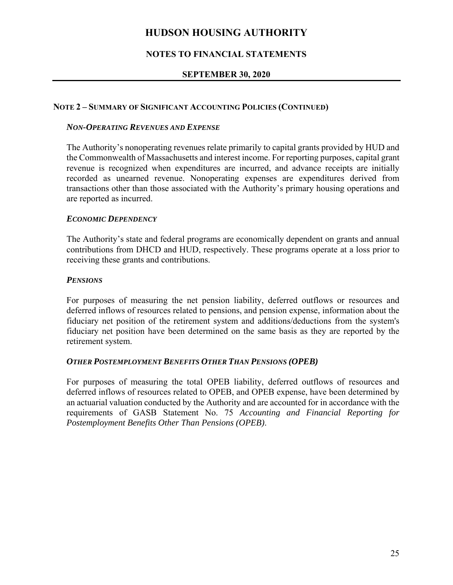## **NOTES TO FINANCIAL STATEMENTS**

## **SEPTEMBER 30, 2020**

### **NOTE 2 – SUMMARY OF SIGNIFICANT ACCOUNTING POLICIES (CONTINUED)**

#### *NON-OPERATING REVENUES AND EXPENSE*

The Authority's nonoperating revenues relate primarily to capital grants provided by HUD and the Commonwealth of Massachusetts and interest income. For reporting purposes, capital grant revenue is recognized when expenditures are incurred, and advance receipts are initially recorded as unearned revenue. Nonoperating expenses are expenditures derived from transactions other than those associated with the Authority's primary housing operations and are reported as incurred.

#### *ECONOMIC DEPENDENCY*

The Authority's state and federal programs are economically dependent on grants and annual contributions from DHCD and HUD, respectively. These programs operate at a loss prior to receiving these grants and contributions.

#### *PENSIONS*

For purposes of measuring the net pension liability, deferred outflows or resources and deferred inflows of resources related to pensions, and pension expense, information about the fiduciary net position of the retirement system and additions/deductions from the system's fiduciary net position have been determined on the same basis as they are reported by the retirement system.

### *OTHER POSTEMPLOYMENT BENEFITS OTHER THAN PENSIONS (OPEB)*

For purposes of measuring the total OPEB liability, deferred outflows of resources and deferred inflows of resources related to OPEB, and OPEB expense, have been determined by an actuarial valuation conducted by the Authority and are accounted for in accordance with the requirements of GASB Statement No. 75 *Accounting and Financial Reporting for Postemployment Benefits Other Than Pensions (OPEB)*.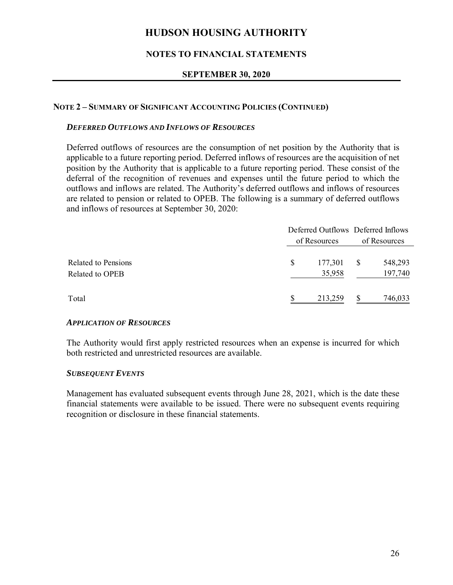## **NOTES TO FINANCIAL STATEMENTS**

### **SEPTEMBER 30, 2020**

### **NOTE 2 – SUMMARY OF SIGNIFICANT ACCOUNTING POLICIES (CONTINUED)**

#### *DEFERRED OUTFLOWS AND INFLOWS OF RESOURCES*

Deferred outflows of resources are the consumption of net position by the Authority that is applicable to a future reporting period. Deferred inflows of resources are the acquisition of net position by the Authority that is applicable to a future reporting period. These consist of the deferral of the recognition of revenues and expenses until the future period to which the outflows and inflows are related. The Authority's deferred outflows and inflows of resources are related to pension or related to OPEB. The following is a summary of deferred outflows and inflows of resources at September 30, 2020:

|                                        |              | Deferred Outflows Deferred Inflows |   |                    |
|----------------------------------------|--------------|------------------------------------|---|--------------------|
|                                        |              | of Resources                       |   | of Resources       |
| Related to Pensions<br>Related to OPEB | <sup>S</sup> | 177,301<br>35,958                  | S | 548,293<br>197,740 |
| Total                                  |              | 213,259                            |   | 746,033            |

#### *APPLICATION OF RESOURCES*

The Authority would first apply restricted resources when an expense is incurred for which both restricted and unrestricted resources are available.

#### *SUBSEQUENT EVENTS*

Management has evaluated subsequent events through June 28, 2021, which is the date these financial statements were available to be issued. There were no subsequent events requiring recognition or disclosure in these financial statements.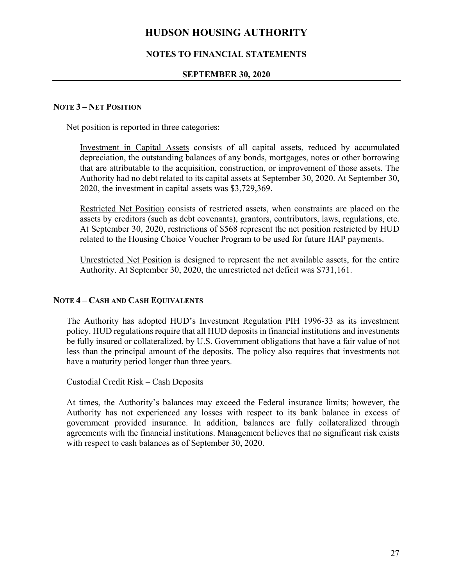## **NOTES TO FINANCIAL STATEMENTS**

### **SEPTEMBER 30, 2020**

#### **NOTE 3 – NET POSITION**

Net position is reported in three categories:

Investment in Capital Assets consists of all capital assets, reduced by accumulated depreciation, the outstanding balances of any bonds, mortgages, notes or other borrowing that are attributable to the acquisition, construction, or improvement of those assets. The Authority had no debt related to its capital assets at September 30, 2020. At September 30, 2020, the investment in capital assets was \$3,729,369.

Restricted Net Position consists of restricted assets, when constraints are placed on the assets by creditors (such as debt covenants), grantors, contributors, laws, regulations, etc. At September 30, 2020, restrictions of \$568 represent the net position restricted by HUD related to the Housing Choice Voucher Program to be used for future HAP payments.

Unrestricted Net Position is designed to represent the net available assets, for the entire Authority. At September 30, 2020, the unrestricted net deficit was \$731,161.

### **NOTE 4 – CASH AND CASH EQUIVALENTS**

The Authority has adopted HUD's Investment Regulation PIH 1996-33 as its investment policy. HUD regulations require that all HUD deposits in financial institutions and investments be fully insured or collateralized, by U.S. Government obligations that have a fair value of not less than the principal amount of the deposits. The policy also requires that investments not have a maturity period longer than three years.

Custodial Credit Risk – Cash Deposits

At times, the Authority's balances may exceed the Federal insurance limits; however, the Authority has not experienced any losses with respect to its bank balance in excess of government provided insurance. In addition, balances are fully collateralized through agreements with the financial institutions. Management believes that no significant risk exists with respect to cash balances as of September 30, 2020.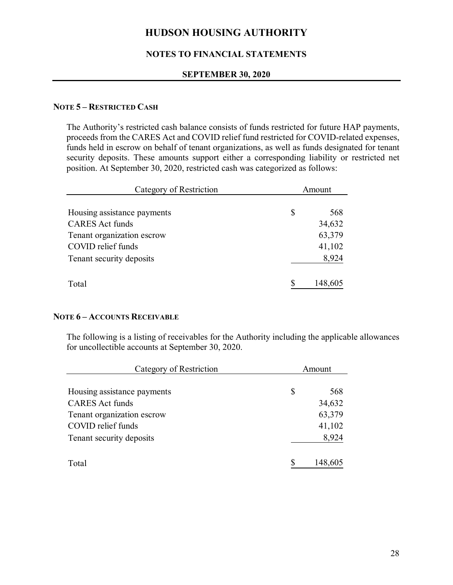### **NOTES TO FINANCIAL STATEMENTS**

#### **SEPTEMBER 30, 2020**

## **NOTE 5 – RESTRICTED CASH**

The Authority's restricted cash balance consists of funds restricted for future HAP payments, proceeds from the CARES Act and COVID relief fund restricted for COVID-related expenses, funds held in escrow on behalf of tenant organizations, as well as funds designated for tenant security deposits. These amounts support either a corresponding liability or restricted net position. At September 30, 2020, restricted cash was categorized as follows:

| Category of Restriction     | Amount    |
|-----------------------------|-----------|
| Housing assistance payments | \$<br>568 |
| <b>CARES</b> Act funds      | 34,632    |
| Tenant organization escrow  | 63,379    |
| COVID relief funds          | 41,102    |
| Tenant security deposits    | 8,924     |
| Total                       | 148,605   |

### **NOTE 6 – ACCOUNTS RECEIVABLE**

The following is a listing of receivables for the Authority including the applicable allowances for uncollectible accounts at September 30, 2020.

| Category of Restriction     | Amount    |
|-----------------------------|-----------|
| Housing assistance payments | \$<br>568 |
| <b>CARES</b> Act funds      | 34,632    |
| Tenant organization escrow  | 63,379    |
| COVID relief funds          | 41,102    |
| Tenant security deposits    | 8,924     |
| Total                       | 148,605   |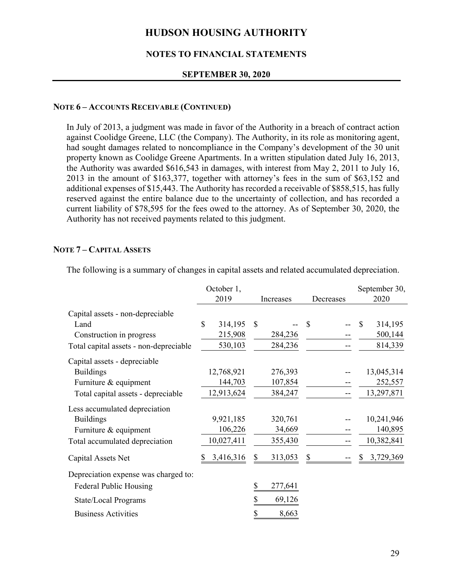### **NOTES TO FINANCIAL STATEMENTS**

#### **SEPTEMBER 30, 2020**

#### **NOTE 6 – ACCOUNTS RECEIVABLE (CONTINUED)**

In July of 2013, a judgment was made in favor of the Authority in a breach of contract action against Coolidge Greene, LLC (the Company). The Authority, in its role as monitoring agent, had sought damages related to noncompliance in the Company's development of the 30 unit property known as Coolidge Greene Apartments. In a written stipulation dated July 16, 2013, the Authority was awarded \$616,543 in damages, with interest from May 2, 2011 to July 16, 2013 in the amount of \$163,377, together with attorney's fees in the sum of \$63,152 and additional expenses of \$15,443. The Authority has recorded a receivable of \$858,515, has fully reserved against the entire balance due to the uncertainty of collection, and has recorded a current liability of \$78,595 for the fees owed to the attorney. As of September 30, 2020, the Authority has not received payments related to this judgment.

#### **NOTE 7 – CAPITAL ASSETS**

|                                        | October 1,    |               |           | September 30,  |
|----------------------------------------|---------------|---------------|-----------|----------------|
|                                        | 2019          | Increases     | Decreases | 2020           |
| Capital assets - non-depreciable       |               |               |           |                |
| Land                                   | \$<br>314,195 | <sup>\$</sup> | \$        | 314,195<br>\$  |
| Construction in progress               | 215,908       | 284,236       |           | 500,144        |
| Total capital assets - non-depreciable | 530,103       | 284,236       |           | 814,339        |
| Capital assets - depreciable           |               |               |           |                |
| <b>Buildings</b>                       | 12,768,921    | 276,393       |           | 13,045,314     |
| Furniture & equipment                  | 144,703       | 107,854       |           | 252,557        |
| Total capital assets - depreciable     | 12,913,624    | 384,247       |           | 13,297,871     |
| Less accumulated depreciation          |               |               |           |                |
| <b>Buildings</b>                       | 9,921,185     | 320,761       |           | 10,241,946     |
| Furniture & equipment                  | 106,226       | 34,669        |           | 140,895        |
| Total accumulated depreciation         | 10,027,411    | 355,430       |           | 10,382,841     |
| Capital Assets Net                     | 3,416,316     | 313,053<br>S  | \$        | 3,729,369<br>S |
| Depreciation expense was charged to:   |               |               |           |                |
| <b>Federal Public Housing</b>          |               | 277,641<br>\$ |           |                |
| State/Local Programs                   |               | \$<br>69,126  |           |                |
| <b>Business Activities</b>             |               | 8,663<br>\$   |           |                |

The following is a summary of changes in capital assets and related accumulated depreciation.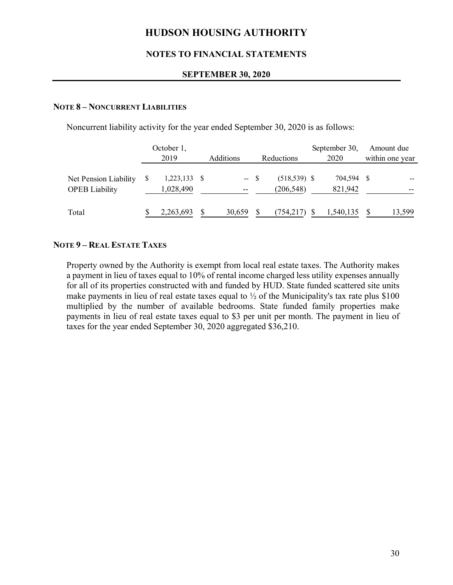### **NOTES TO FINANCIAL STATEMENTS**

#### **SEPTEMBER 30, 2020**

## **NOTE 8 – NONCURRENT LIABILITIES**

Noncurrent liability activity for the year ended September 30, 2020 is as follows:

|                                                | October 1,<br>2019          | Additions   | Reductions                    | September 30,<br>2020 | Amount due<br>within one year |
|------------------------------------------------|-----------------------------|-------------|-------------------------------|-----------------------|-------------------------------|
| Net Pension Liability<br><b>OPEB</b> Liability | $1,223,133$ \$<br>1,028,490 | $- S$<br>-- | $(518, 539)$ \$<br>(206, 548) | 704.594 \$<br>821,942 | $\sim$ $\sim$                 |
| Total                                          | 2,263,693                   | 30,659      | (754, 217)                    | 1,540,135             | 13,599                        |

## **NOTE 9 – REAL ESTATE TAXES**

Property owned by the Authority is exempt from local real estate taxes. The Authority makes a payment in lieu of taxes equal to 10% of rental income charged less utility expenses annually for all of its properties constructed with and funded by HUD. State funded scattered site units make payments in lieu of real estate taxes equal to  $\frac{1}{2}$  of the Municipality's tax rate plus \$100 multiplied by the number of available bedrooms. State funded family properties make payments in lieu of real estate taxes equal to \$3 per unit per month. The payment in lieu of taxes for the year ended September 30, 2020 aggregated \$36,210.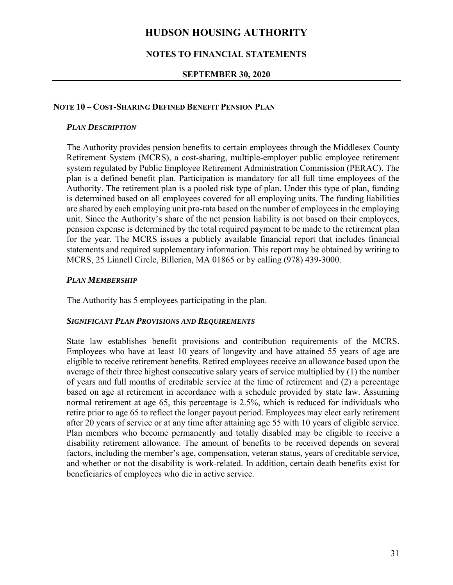## **NOTES TO FINANCIAL STATEMENTS**

#### **SEPTEMBER 30, 2020**

#### **NOTE 10 – COST-SHARING DEFINED BENEFIT PENSION PLAN**

#### *PLAN DESCRIPTION*

The Authority provides pension benefits to certain employees through the Middlesex County Retirement System (MCRS), a cost-sharing, multiple-employer public employee retirement system regulated by Public Employee Retirement Administration Commission (PERAC). The plan is a defined benefit plan. Participation is mandatory for all full time employees of the Authority. The retirement plan is a pooled risk type of plan. Under this type of plan, funding is determined based on all employees covered for all employing units. The funding liabilities are shared by each employing unit pro-rata based on the number of employees in the employing unit. Since the Authority's share of the net pension liability is not based on their employees, pension expense is determined by the total required payment to be made to the retirement plan for the year. The MCRS issues a publicly available financial report that includes financial statements and required supplementary information. This report may be obtained by writing to MCRS, 25 Linnell Circle, Billerica, MA 01865 or by calling (978) 439-3000.

#### *PLAN MEMBERSHIP*

The Authority has 5 employees participating in the plan.

#### *SIGNIFICANT PLAN PROVISIONS AND REQUIREMENTS*

State law establishes benefit provisions and contribution requirements of the MCRS. Employees who have at least 10 years of longevity and have attained 55 years of age are eligible to receive retirement benefits. Retired employees receive an allowance based upon the average of their three highest consecutive salary years of service multiplied by (1) the number of years and full months of creditable service at the time of retirement and (2) a percentage based on age at retirement in accordance with a schedule provided by state law. Assuming normal retirement at age 65, this percentage is 2.5%, which is reduced for individuals who retire prior to age 65 to reflect the longer payout period. Employees may elect early retirement after 20 years of service or at any time after attaining age 55 with 10 years of eligible service. Plan members who become permanently and totally disabled may be eligible to receive a disability retirement allowance. The amount of benefits to be received depends on several factors, including the member's age, compensation, veteran status, years of creditable service, and whether or not the disability is work-related. In addition, certain death benefits exist for beneficiaries of employees who die in active service.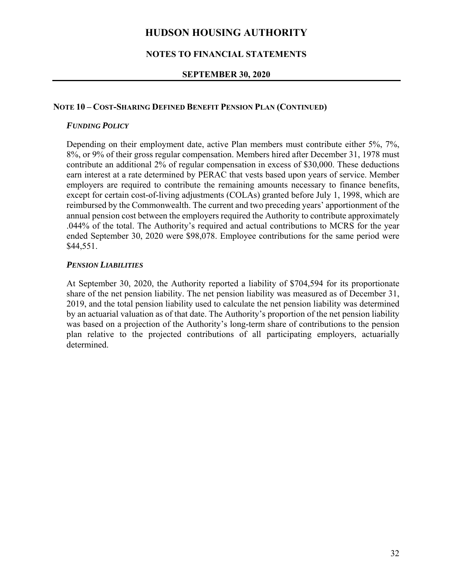### **NOTES TO FINANCIAL STATEMENTS**

#### **SEPTEMBER 30, 2020**

#### **NOTE 10 – COST-SHARING DEFINED BENEFIT PENSION PLAN (CONTINUED)**

#### *FUNDING POLICY*

Depending on their employment date, active Plan members must contribute either 5%, 7%, 8%, or 9% of their gross regular compensation. Members hired after December 31, 1978 must contribute an additional 2% of regular compensation in excess of \$30,000. These deductions earn interest at a rate determined by PERAC that vests based upon years of service. Member employers are required to contribute the remaining amounts necessary to finance benefits, except for certain cost-of-living adjustments (COLAs) granted before July 1, 1998, which are reimbursed by the Commonwealth. The current and two preceding years' apportionment of the annual pension cost between the employers required the Authority to contribute approximately .044% of the total. The Authority's required and actual contributions to MCRS for the year ended September 30, 2020 were \$98,078. Employee contributions for the same period were \$44,551.

### *PENSION LIABILITIES*

At September 30, 2020, the Authority reported a liability of \$704,594 for its proportionate share of the net pension liability. The net pension liability was measured as of December 31, 2019, and the total pension liability used to calculate the net pension liability was determined by an actuarial valuation as of that date. The Authority's proportion of the net pension liability was based on a projection of the Authority's long-term share of contributions to the pension plan relative to the projected contributions of all participating employers, actuarially determined.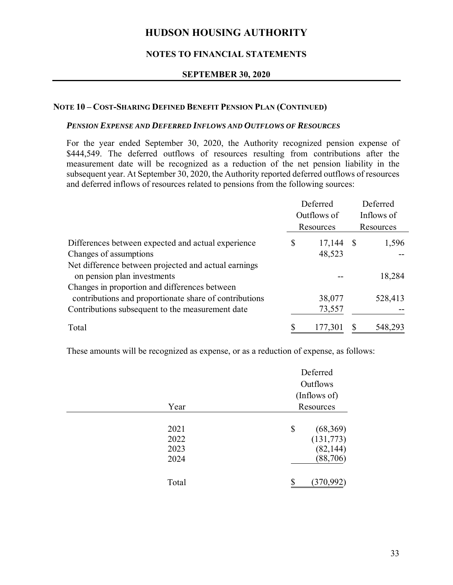## **NOTES TO FINANCIAL STATEMENTS**

#### **SEPTEMBER 30, 2020**

## **NOTE 10 – COST-SHARING DEFINED BENEFIT PENSION PLAN (CONTINUED)**

#### *PENSION EXPENSE AND DEFERRED INFLOWS AND OUTFLOWS OF RESOURCES*

For the year ended September 30, 2020, the Authority recognized pension expense of \$444,549. The deferred outflows of resources resulting from contributions after the measurement date will be recognized as a reduction of the net pension liability in the subsequent year. At September 30, 2020, the Authority reported deferred outflows of resources and deferred inflows of resources related to pensions from the following sources:

|                                                        | Deferred     |     | Deferred   |
|--------------------------------------------------------|--------------|-----|------------|
|                                                        | Outflows of  |     | Inflows of |
|                                                        | Resources    |     | Resources  |
| Differences between expected and actual experience     | \$<br>17,144 | - S | 1,596      |
| Changes of assumptions                                 | 48,523       |     |            |
| Net difference between projected and actual earnings   |              |     |            |
| on pension plan investments                            |              |     | 18,284     |
| Changes in proportion and differences between          |              |     |            |
| contributions and proportionate share of contributions | 38,077       |     | 528,413    |
| Contributions subsequent to the measurement date       | 73,557       |     |            |
| Total                                                  | 177,301      |     | 548,293    |

These amounts will be recognized as expense, or as a reduction of expense, as follows:

| Deferred     |
|--------------|
| Outflows     |
| (Inflows of) |
| Resources    |
|              |
| (68, 369)    |
| (131, 773)   |
| (82, 144)    |
| (88, 706)    |
|              |
| (370,992)    |
|              |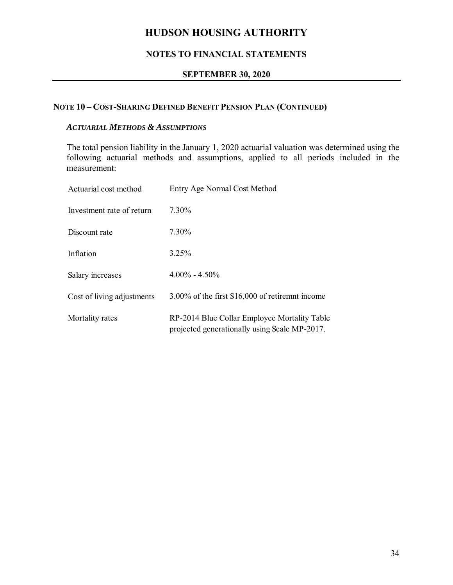## **NOTES TO FINANCIAL STATEMENTS**

## **SEPTEMBER 30, 2020**

## **NOTE 10 – COST-SHARING DEFINED BENEFIT PENSION PLAN (CONTINUED)**

## *ACTUARIAL METHODS & ASSUMPTIONS*

The total pension liability in the January 1, 2020 actuarial valuation was determined using the following actuarial methods and assumptions, applied to all periods included in the measurement:

| Actuarial cost method      | Entry Age Normal Cost Method                                                                  |
|----------------------------|-----------------------------------------------------------------------------------------------|
| Investment rate of return  | 7.30%                                                                                         |
| Discount rate              | 7.30%                                                                                         |
| Inflation                  | 3.25%                                                                                         |
| Salary increases           | $4.00\% - 4.50\%$                                                                             |
| Cost of living adjustments | 3.00% of the first \$16,000 of retiremnt income                                               |
| Mortality rates            | RP-2014 Blue Collar Employee Mortality Table<br>projected generationally using Scale MP-2017. |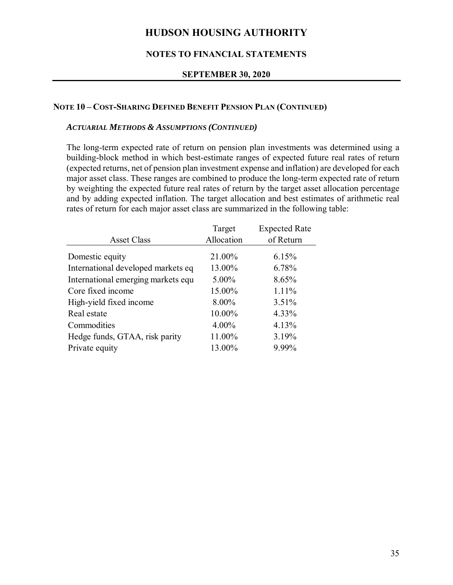## **NOTES TO FINANCIAL STATEMENTS**

#### **SEPTEMBER 30, 2020**

## **NOTE 10 – COST-SHARING DEFINED BENEFIT PENSION PLAN (CONTINUED)**

### *ACTUARIAL METHODS & ASSUMPTIONS (CONTINUED)*

The long-term expected rate of return on pension plan investments was determined using a building-block method in which best-estimate ranges of expected future real rates of return (expected returns, net of pension plan investment expense and inflation) are developed for each major asset class. These ranges are combined to produce the long-term expected rate of return by weighting the expected future real rates of return by the target asset allocation percentage and by adding expected inflation. The target allocation and best estimates of arithmetic real rates of return for each major asset class are summarized in the following table:

|                                    | Target     | <b>Expected Rate</b> |
|------------------------------------|------------|----------------------|
| <b>Asset Class</b>                 | Allocation | of Return            |
| Domestic equity                    | 21.00%     | 6.15%                |
| International developed markets eq | 13.00%     | 6.78%                |
| International emerging markets equ | 5.00%      | 8.65%                |
| Core fixed income                  | 15.00%     | 1.11%                |
| High-yield fixed income            | 8.00%      | 3.51%                |
| Real estate                        | 10.00%     | 4.33%                |
| Commodities                        | $4.00\%$   | 4.13%                |
| Hedge funds, GTAA, risk parity     | 11.00%     | 3.19%                |
| Private equity                     | 13.00%     | 9.99%                |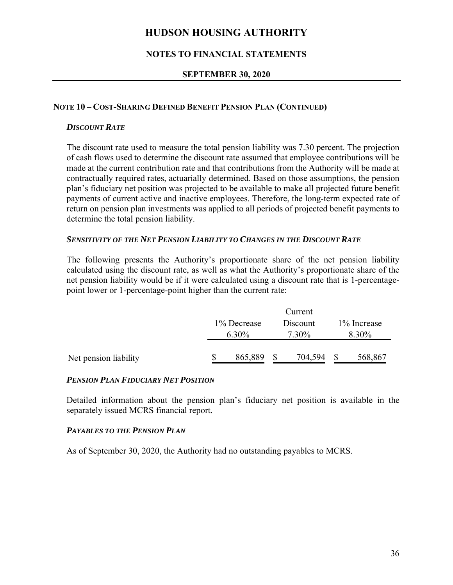## **NOTES TO FINANCIAL STATEMENTS**

### **SEPTEMBER 30, 2020**

### **NOTE 10 – COST-SHARING DEFINED BENEFIT PENSION PLAN (CONTINUED)**

#### *DISCOUNT RATE*

The discount rate used to measure the total pension liability was 7.30 percent. The projection of cash flows used to determine the discount rate assumed that employee contributions will be made at the current contribution rate and that contributions from the Authority will be made at contractually required rates, actuarially determined. Based on those assumptions, the pension plan's fiduciary net position was projected to be available to make all projected future benefit payments of current active and inactive employees. Therefore, the long-term expected rate of return on pension plan investments was applied to all periods of projected benefit payments to determine the total pension liability.

#### *SENSITIVITY OF THE NET PENSION LIABILITY TO CHANGES IN THE DISCOUNT RATE*

The following presents the Authority's proportionate share of the net pension liability calculated using the discount rate, as well as what the Authority's proportionate share of the net pension liability would be if it were calculated using a discount rate that is 1-percentagepoint lower or 1-percentage-point higher than the current rate:

|                       |             |  | Current  |             |
|-----------------------|-------------|--|----------|-------------|
|                       | 1% Decrease |  | Discount | 1% Increase |
|                       | $6.30\%$    |  | 7.30%    | 8.30%       |
|                       |             |  |          |             |
| Net pension liability | 865,889     |  | 704,594  | 568,867     |

### *PENSION PLAN FIDUCIARY NET POSITION*

Detailed information about the pension plan's fiduciary net position is available in the separately issued MCRS financial report.

### *PAYABLES TO THE PENSION PLAN*

As of September 30, 2020, the Authority had no outstanding payables to MCRS.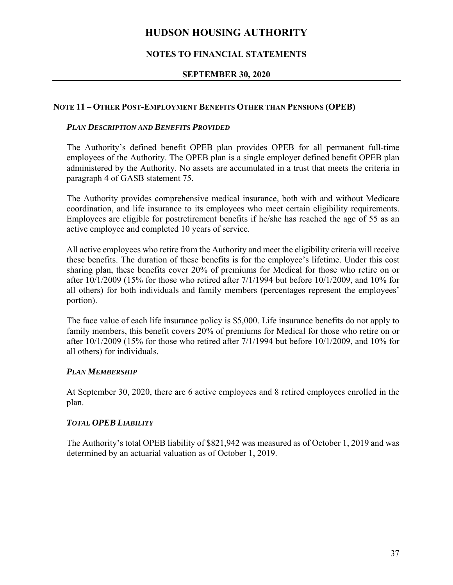## **NOTES TO FINANCIAL STATEMENTS**

## **SEPTEMBER 30, 2020**

### **NOTE 11 – OTHER POST-EMPLOYMENT BENEFITS OTHER THAN PENSIONS (OPEB)**

### *PLAN DESCRIPTION AND BENEFITS PROVIDED*

The Authority's defined benefit OPEB plan provides OPEB for all permanent full-time employees of the Authority. The OPEB plan is a single employer defined benefit OPEB plan administered by the Authority. No assets are accumulated in a trust that meets the criteria in paragraph 4 of GASB statement 75.

The Authority provides comprehensive medical insurance, both with and without Medicare coordination, and life insurance to its employees who meet certain eligibility requirements. Employees are eligible for postretirement benefits if he/she has reached the age of 55 as an active employee and completed 10 years of service.

All active employees who retire from the Authority and meet the eligibility criteria will receive these benefits. The duration of these benefits is for the employee's lifetime. Under this cost sharing plan, these benefits cover 20% of premiums for Medical for those who retire on or after 10/1/2009 (15% for those who retired after 7/1/1994 but before 10/1/2009, and 10% for all others) for both individuals and family members (percentages represent the employees' portion).

The face value of each life insurance policy is \$5,000. Life insurance benefits do not apply to family members, this benefit covers 20% of premiums for Medical for those who retire on or after 10/1/2009 (15% for those who retired after 7/1/1994 but before 10/1/2009, and 10% for all others) for individuals.

## *PLAN MEMBERSHIP*

At September 30, 2020, there are 6 active employees and 8 retired employees enrolled in the plan.

## *TOTAL OPEB LIABILITY*

The Authority's total OPEB liability of \$821,942 was measured as of October 1, 2019 and was determined by an actuarial valuation as of October 1, 2019.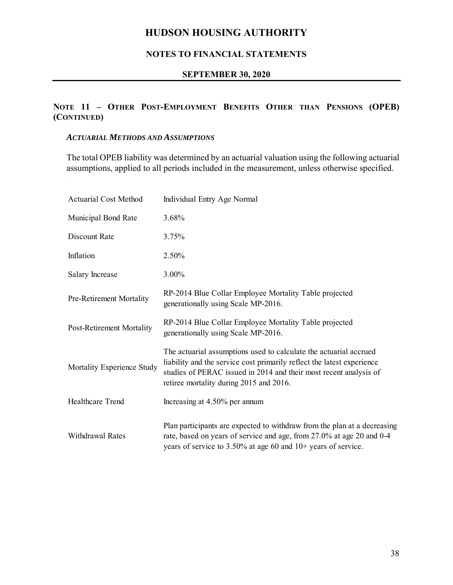## **NOTES TO FINANCIAL STATEMENTS**

## **SEPTEMBER 30, 2020**

## **NOTE 11 – OTHER POST-EMPLOYMENT BENEFITS OTHER THAN PENSIONS (OPEB) (CONTINUED)**

#### *ACTUARIAL METHODS AND ASSUMPTIONS*

The total OPEB liability was determined by an actuarial valuation using the following actuarial assumptions, applied to all periods included in the measurement, unless otherwise specified.

| Actuarial Cost Method            | Individual Entry Age Normal                                                                                                                                                                                                                                 |
|----------------------------------|-------------------------------------------------------------------------------------------------------------------------------------------------------------------------------------------------------------------------------------------------------------|
| Municipal Bond Rate              | 3.68%                                                                                                                                                                                                                                                       |
| Discount Rate                    | 3.75%                                                                                                                                                                                                                                                       |
| Inflation                        | 2.50%                                                                                                                                                                                                                                                       |
| Salary Increase                  | 3.00%                                                                                                                                                                                                                                                       |
| Pre-Retirement Mortality         | RP-2014 Blue Collar Employee Mortality Table projected<br>generationally using Scale MP-2016.                                                                                                                                                               |
| <b>Post-Retirement Mortality</b> | RP-2014 Blue Collar Employee Mortality Table projected<br>generationally using Scale MP-2016.                                                                                                                                                               |
| Mortality Experience Study       | The actuarial assumptions used to calculate the actuarial accrued<br>liability and the service cost primarily reflect the latest experience<br>studies of PERAC issued in 2014 and their most recent analysis of<br>retiree mortality during 2015 and 2016. |
| Healthcare Trend                 | Increasing at 4.50% per annum                                                                                                                                                                                                                               |
| Withdrawal Rates                 | Plan participants are expected to withdraw from the plan at a decreasing<br>rate, based on years of service and age, from 27.0% at age 20 and 0-4<br>years of service to $3.50\%$ at age 60 and $10+$ years of service.                                     |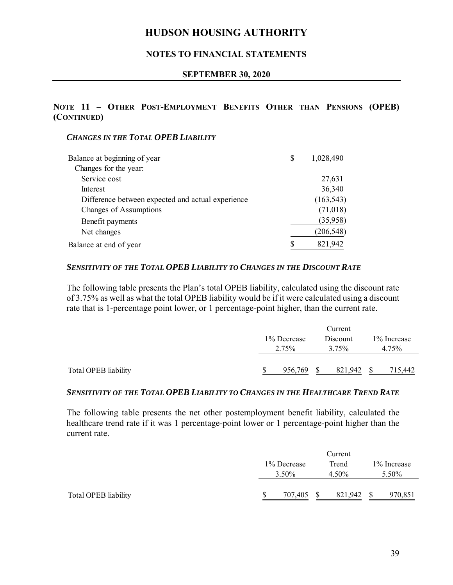## **NOTES TO FINANCIAL STATEMENTS**

#### **SEPTEMBER 30, 2020**

## **NOTE 11 – OTHER POST-EMPLOYMENT BENEFITS OTHER THAN PENSIONS (OPEB) (CONTINUED)**

#### *CHANGES IN THE TOTAL OPEB LIABILITY*

| Balance at beginning of year                      | \$<br>1,028,490 |
|---------------------------------------------------|-----------------|
| Changes for the year:                             |                 |
| Service cost                                      | 27,631          |
| Interest                                          | 36,340          |
| Difference between expected and actual experience | (163, 543)      |
| Changes of Assumptions                            | (71,018)        |
| Benefit payments                                  | (35,958)        |
| Net changes                                       | (206, 548)      |
| Balance at end of year                            | 821,942         |

#### *SENSITIVITY OF THE TOTAL OPEB LIABILITY TO CHANGES IN THE DISCOUNT RATE*

The following table presents the Plan's total OPEB liability, calculated using the discount rate of 3.75% as well as what the total OPEB liability would be if it were calculated using a discount rate that is 1-percentage point lower, or 1 percentage-point higher, than the current rate.

|                      |             |   | Current  |    |             |
|----------------------|-------------|---|----------|----|-------------|
|                      | 1% Decrease |   | Discount |    | 1% Increase |
|                      | 2.75%       |   | 3.75%    |    | 4.75%       |
|                      |             |   |          |    |             |
| Total OPEB liability | 956,769     | S | 821,942  | -S | 715,442     |

#### *SENSITIVITY OF THE TOTAL OPEB LIABILITY TO CHANGES IN THE HEALTHCARE TREND RATE*

The following table presents the net other postemployment benefit liability, calculated the healthcare trend rate if it was 1 percentage-point lower or 1 percentage-point higher than the current rate.

|                      |       |             |          | Current |       |             |
|----------------------|-------|-------------|----------|---------|-------|-------------|
|                      |       | 1% Decrease |          | Trend   |       | 1% Increase |
|                      | 3.50% |             | $4.50\%$ |         | 5.50% |             |
|                      |       |             |          |         |       |             |
| Total OPEB liability |       | 707,405     | -S       | 821,942 | - \$  | 970,851     |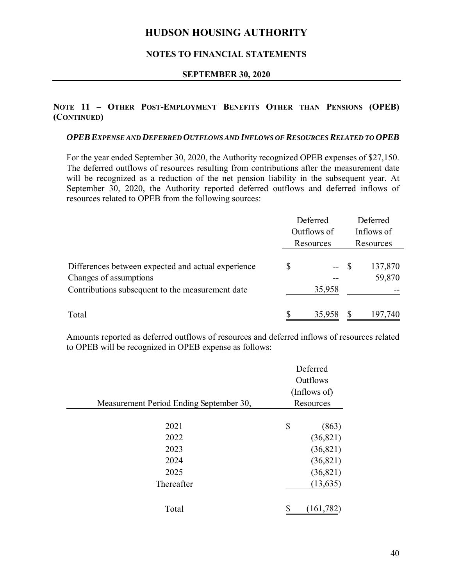## **NOTES TO FINANCIAL STATEMENTS**

#### **SEPTEMBER 30, 2020**

## **NOTE 11 – OTHER POST-EMPLOYMENT BENEFITS OTHER THAN PENSIONS (OPEB) (CONTINUED)**

#### *OPEBEXPENSE AND DEFERRED OUTFLOWS AND INFLOWS OF RESOURCES RELATED TO OPEB*

For the year ended September 30, 2020, the Authority recognized OPEB expenses of \$27,150. The deferred outflows of resources resulting from contributions after the measurement date will be recognized as a reduction of the net pension liability in the subsequent year. At September 30, 2020, the Authority reported deferred outflows and deferred inflows of resources related to OPEB from the following sources:

|                                                    | Deferred     | Deferred   |
|----------------------------------------------------|--------------|------------|
|                                                    | Outflows of  | Inflows of |
|                                                    | Resources    | Resources  |
|                                                    |              |            |
| Differences between expected and actual experience | \$<br>$-$ \$ | 137,870    |
| Changes of assumptions                             |              | 59,870     |
| Contributions subsequent to the measurement date   | 35,958       |            |
|                                                    |              |            |
| Total                                              | 35,958       | 197,740    |

Amounts reported as deferred outflows of resources and deferred inflows of resources related to OPEB will be recognized in OPEB expense as follows:

| Measurement Period Ending September 30, | Deferred<br>Outflows<br>(Inflows of)<br>Resources |
|-----------------------------------------|---------------------------------------------------|
|                                         |                                                   |
| 2021                                    | \$<br>(863)                                       |
| 2022                                    | (36,821)                                          |
| 2023                                    | (36, 821)                                         |
| 2024                                    | (36, 821)                                         |
| 2025                                    | (36, 821)                                         |
| Thereafter                              | (13, 635)                                         |
| Total                                   | \$<br>(161, 782)                                  |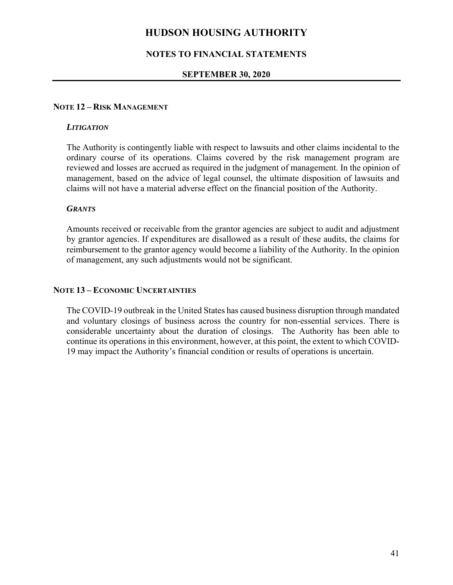## **NOTES TO FINANCIAL STATEMENTS**

#### **SEPTEMBER 30, 2020**

#### **NOTE 12 – RISK MANAGEMENT**

#### *LITIGATION*

The Authority is contingently liable with respect to lawsuits and other claims incidental to the ordinary course of its operations. Claims covered by the risk management program are reviewed and losses are accrued as required in the judgment of management. In the opinion of management, based on the advice of legal counsel, the ultimate disposition of lawsuits and claims will not have a material adverse effect on the financial position of the Authority.

#### *GRANTS*

Amounts received or receivable from the grantor agencies are subject to audit and adjustment by grantor agencies. If expenditures are disallowed as a result of these audits, the claims for reimbursement to the grantor agency would become a liability of the Authority. In the opinion of management, any such adjustments would not be significant.

### **NOTE 13 – ECONOMIC UNCERTAINTIES**

The COVID-19 outbreak in the United States has caused business disruption through mandated and voluntary closings of business across the country for non-essential services. There is considerable uncertainty about the duration of closings. The Authority has been able to continue its operations in this environment, however, at this point, the extent to which COVID-19 may impact the Authority's financial condition or results of operations is uncertain.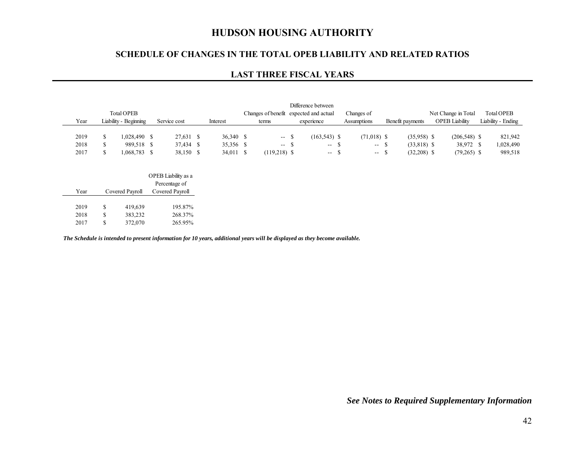#### **SCHEDULE OF CHANGES IN THE TOTAL OPEB LIABILITY AND RELATED RATIOS**

|      |                       |              |           |                | Difference between                     |               |                  |                       |                    |
|------|-----------------------|--------------|-----------|----------------|----------------------------------------|---------------|------------------|-----------------------|--------------------|
|      | <b>Total OPEB</b>     |              |           |                | Changes of benefit expected and actual | Changes of    |                  | Net Change in Total   | <b>Total OPEB</b>  |
| Year | Liability - Beginning | Service cost | Interest  | terms          | experience                             | Assumptions   | Benefit payments | <b>OPEB</b> Liability | Liability - Ending |
|      |                       |              |           |                |                                        |               |                  |                       |                    |
| 2019 | 1.028.490 \$          | 27.631 \$    | 36,340 \$ | $\sim$ $\sim$  | $(163, 543)$ \$                        | $(71,018)$ \$ | $(35,958)$ \$    | $(206, 548)$ \$       | 821,942            |
| 2018 | 989.518 \$            | 37.434 \$    | 35,356 \$ | $\sim$ $\sim$  | $-  \sim$                              | $-$ \$        | $(33,818)$ \$    | 38,972 \$             | 1.028.490          |
| 2017 | $1,068,783$ \$        | 38,150 \$    | 34.011 \$ | $(119,218)$ \$ | $--$                                   | $\sim$ $\sim$ | $(32,208)$ \$    | $(79,265)$ \$         | 989,518            |

#### **LAST THREE FISCAL YEARS**

|      |   |                 | <b>OPEB</b> Liability as a |
|------|---|-----------------|----------------------------|
|      |   |                 | Percentage of              |
| Year |   | Covered Payroll | Covered Payroll            |
|      |   |                 |                            |
| 2019 | S | 419,639         | 195.87%                    |
| 2018 | S | 383,232         | 268.37%                    |
| 2017 |   | 372,070         | 265.95%                    |

*The Schedule is intended to present information for 10 years, additional years will be displayed as they become available.*

*See Notes to Required Supplementary Information*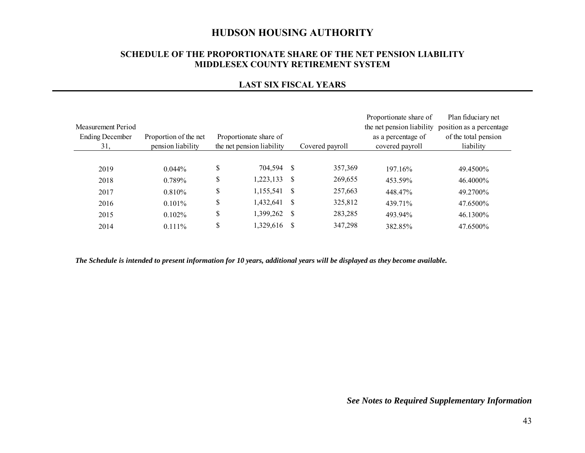### **SCHEDULE OF THE PROPORTIONATE SHARE OF THE NET PENSION LIABILITY MIDDLESEX COUNTY RETIREMENT SYSTEM**

| Measurement Period<br><b>Ending December</b><br>31, | Proportion of the net<br>pension liability | Proportionate share of<br>the net pension liability |    | Covered payroll | Proportionate share of<br>the net pension liability<br>as a percentage of<br>covered payroll | Plan fiduciary net<br>position as a percentage<br>of the total pension<br>liability |
|-----------------------------------------------------|--------------------------------------------|-----------------------------------------------------|----|-----------------|----------------------------------------------------------------------------------------------|-------------------------------------------------------------------------------------|
|                                                     |                                            |                                                     |    |                 |                                                                                              |                                                                                     |
| 2019                                                | $0.044\%$                                  | \$<br>704,594                                       | -S | 357,369         | 197.16%                                                                                      | 49.4500\%                                                                           |
| 2018                                                | 0.789%                                     | \$<br>1,223,133                                     | -S | 269,655         | 453.59%                                                                                      | 46.4000\%                                                                           |
| 2017                                                | 0.810%                                     | \$<br>1,155,541                                     | -S | 257,663         | 448.47%                                                                                      | 49.2700%                                                                            |
| 2016                                                | $0.101\%$                                  | \$<br>1,432,641                                     | -S | 325,812         | 439.71%                                                                                      | 47.6500%                                                                            |
| 2015                                                | $0.102\%$                                  | \$<br>1,399,262                                     | -S | 283,285         | 493.94%                                                                                      | 46.1300%                                                                            |
| 2014                                                | $0.111\%$                                  | \$<br>1,329,616                                     | -S | 347,298         | 382.85%                                                                                      | 47.6500%                                                                            |

#### **LAST SIX FISCAL YEARS**

*The Schedule is intended to present information for 10 years, additional years will be displayed as they become available.*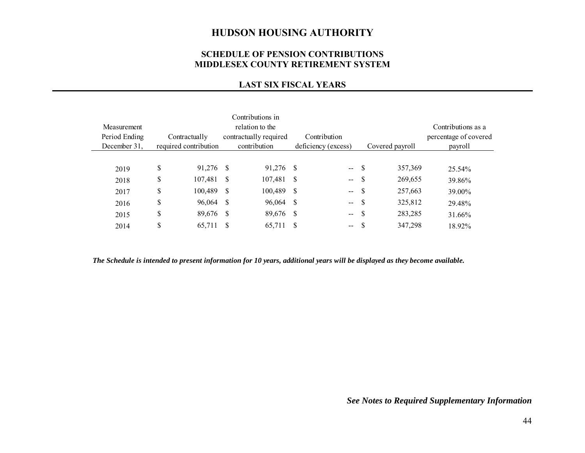### **SCHEDULE OF PENSION CONTRIBUTIONS MIDDLESEX COUNTY RETIREMENT SYSTEM**

| Measurement   |                                       |               | Contributions in<br>relation to the |      |                             |               |         | Contributions as a    |
|---------------|---------------------------------------|---------------|-------------------------------------|------|-----------------------------|---------------|---------|-----------------------|
| Period Ending | Contractually                         |               | contractually required              |      | Contribution                |               |         | percentage of covered |
| December 31,  | required contribution<br>contribution |               |                                     |      | deficiency (excess)         | payroll       |         |                       |
|               |                                       |               |                                     |      |                             |               |         |                       |
| 2019          | \$<br>91,276                          | -S            | 91,276 \$                           |      | $\mathcal{L} = \mathcal{L}$ | S             | 357,369 | 25.54%                |
| 2018          | \$<br>107,481                         | <sup>\$</sup> | 107,481                             | - \$ | $\mathbf{u} = \mathbf{u}$   | <sup>\$</sup> | 269,655 | 39.86%                |
| 2017          | \$<br>100,489                         | <sup>\$</sup> | 100,489                             | - \$ | $--$                        | \$            | 257,663 | 39.00%                |
| 2016          | \$<br>96,064                          | S             | 96,064                              | -S   | $-$                         | S             | 325,812 | 29.48%                |
| 2015          | \$<br>89,676                          | <sup>\$</sup> | 89,676 \$                           |      | $\mathbf{u} = \mathbf{u}$   | <sup>\$</sup> | 283,285 | 31.66%                |
| 2014          | \$<br>65,711                          | \$            | 65,711                              |      | $\overline{\phantom{a}}$    |               | 347,298 | 18.92%                |

#### **LAST SIX FISCAL YEARS**

*The Schedule is intended to present information for 10 years, additional years will be displayed as they become available.*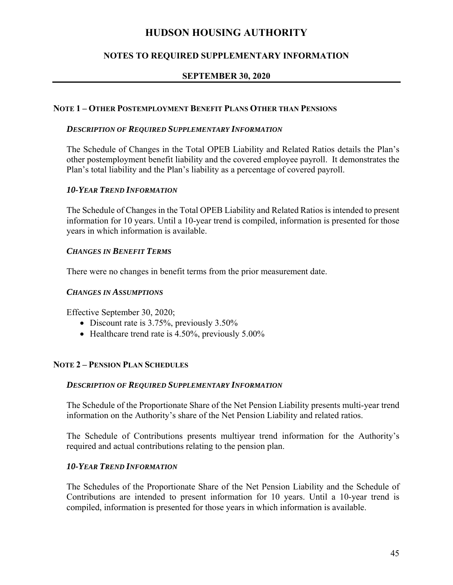## **NOTES TO REQUIRED SUPPLEMENTARY INFORMATION**

## **SEPTEMBER 30, 2020**

### **NOTE 1 – OTHER POSTEMPLOYMENT BENEFIT PLANS OTHER THAN PENSIONS**

#### *DESCRIPTION OF REQUIRED SUPPLEMENTARY INFORMATION*

The Schedule of Changes in the Total OPEB Liability and Related Ratios details the Plan's other postemployment benefit liability and the covered employee payroll. It demonstrates the Plan's total liability and the Plan's liability as a percentage of covered payroll.

### *10-YEAR TREND INFORMATION*

The Schedule of Changes in the Total OPEB Liability and Related Ratios is intended to present information for 10 years. Until a 10-year trend is compiled, information is presented for those years in which information is available.

### *CHANGES IN BENEFIT TERMS*

There were no changes in benefit terms from the prior measurement date.

#### *CHANGES IN ASSUMPTIONS*

Effective September 30, 2020;

- Discount rate is 3.75%, previously 3.50%
- Healthcare trend rate is  $4.50\%$ , previously  $5.00\%$

### **NOTE 2 – PENSION PLAN SCHEDULES**

#### *DESCRIPTION OF REQUIRED SUPPLEMENTARY INFORMATION*

The Schedule of the Proportionate Share of the Net Pension Liability presents multi-year trend information on the Authority's share of the Net Pension Liability and related ratios.

The Schedule of Contributions presents multiyear trend information for the Authority's required and actual contributions relating to the pension plan.

#### *10-YEAR TREND INFORMATION*

The Schedules of the Proportionate Share of the Net Pension Liability and the Schedule of Contributions are intended to present information for 10 years. Until a 10-year trend is compiled, information is presented for those years in which information is available.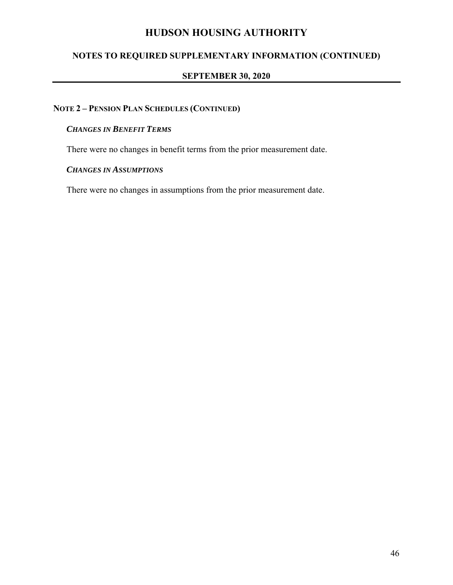## **NOTES TO REQUIRED SUPPLEMENTARY INFORMATION (CONTINUED)**

## **SEPTEMBER 30, 2020**

## **NOTE 2 – PENSION PLAN SCHEDULES (CONTINUED)**

#### *CHANGES IN BENEFIT TERMS*

There were no changes in benefit terms from the prior measurement date.

*CHANGES IN ASSUMPTIONS*

There were no changes in assumptions from the prior measurement date.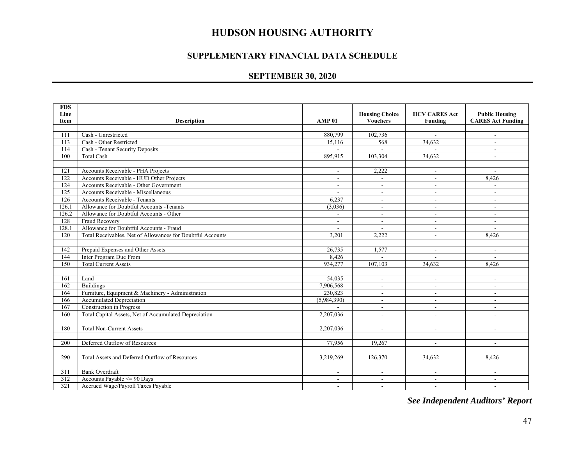#### **SUPPLEMENTARY FINANCIAL DATA SCHEDULE**

## **SEPTEMBER 30, 2020**

| <b>FDS</b> |                                                            |               |                          |                          |                          |
|------------|------------------------------------------------------------|---------------|--------------------------|--------------------------|--------------------------|
| Line       |                                                            |               | <b>Housing Choice</b>    | <b>HCV CARES Act</b>     | <b>Public Housing</b>    |
| Item       | <b>Description</b>                                         | <b>AMP 01</b> | <b>Vouchers</b>          | Funding                  | <b>CARES Act Funding</b> |
|            |                                                            |               |                          |                          |                          |
| 111        | Cash - Unrestricted                                        | 880,799       | 102,736                  |                          | $\overline{a}$           |
| 113        | Cash - Other Restricted                                    | 15,116        | 568                      | 34,632                   | $\overline{\phantom{a}}$ |
| 114        | Cash - Tenant Security Deposits                            | ÷.            | $\mathbf{r}$             | $\mathbf{r}$             | $\sim$                   |
| 100        | <b>Total Cash</b>                                          | 895,915       | 103,304                  | 34,632                   | $\sim$                   |
|            |                                                            |               |                          |                          |                          |
| 121        | Accounts Receivable - PHA Projects                         |               | 2,222                    | $\sim$                   | $\sim$                   |
| 122        | Accounts Receivable - HUD Other Projects                   | $\sim$        | $\sim$                   | $\sim$                   | 8,426                    |
| 124        | Accounts Receivable - Other Government                     | $\sim$        | $\sim$                   | $\sim$                   | $\sim$                   |
| 125        | Accounts Receivable - Miscellaneous                        |               |                          |                          | $\blacksquare$           |
| 126        | Accounts Receivable - Tenants                              | 6,237         | $\mathbf{r}$             | $\mathbf{u}$             | $\sim$                   |
| 126.1      | Allowance for Doubtful Accounts -Tenants                   | (3,036)       | $\blacksquare$           | $\overline{\phantom{a}}$ | $\overline{\phantom{a}}$ |
| 126.2      | Allowance for Doubtful Accounts - Other                    | $\sim$        | $\blacksquare$           |                          | $\overline{\phantom{a}}$ |
| 128        | Fraud Recovery                                             |               |                          |                          | $\sim$                   |
| 128.1      | Allowance for Doubtful Accounts - Fraud                    | $\sim$        | $\sim$                   | $\sim$                   | $\sim$                   |
| 120        | Total Receivables, Net of Allowances for Doubtful Accounts | 3,201         | 2,222                    | $\sim$                   | 8,426                    |
|            |                                                            |               |                          |                          |                          |
| 142        | Prepaid Expenses and Other Assets                          | 26,735        | 1,577                    | $\sim$                   | $\blacksquare$           |
| 144        | Inter Program Due From                                     | 8.426         | $\mathbf{r}$             | $\sim$                   | $\sim$                   |
| 150        | <b>Total Current Assets</b>                                | 934,277       | 107,103                  | 34,632                   | 8,426                    |
|            |                                                            |               |                          |                          |                          |
| 161        | Land                                                       | 54,035        | $\sim$                   | $\sim$                   | $\sim$                   |
| 162        | <b>Buildings</b>                                           | 7,906,568     | $\mathbf{r}$             | $\mathbf{u}$             | $\mathbf{u}$             |
| 164        | Furniture, Equipment & Machinery - Administration          | 230,823       | $\overline{\phantom{a}}$ |                          | $\sim$                   |
| 166        | <b>Accumulated Depreciation</b>                            | (5,984,390)   | $\mathbf{r}$             | $\mathcal{L}$            | $\mathcal{L}$            |
| 167        | Construction in Progress                                   |               | $\blacksquare$           | $\sim$                   | $\blacksquare$           |
| 160        | Total Capital Assets, Net of Accumulated Depreciation      | 2,207,036     | $\overline{\phantom{a}}$ | $\sim$                   | $\overline{a}$           |
|            |                                                            |               |                          |                          |                          |
| 180        | <b>Total Non-Current Assets</b>                            | 2,207,036     | $\sim$                   | $\sim$                   | $\blacksquare$           |
|            |                                                            |               |                          |                          |                          |
| 200        | Deferred Outflow of Resources                              | 77,956        | 19,267                   |                          | $\blacksquare$           |
|            |                                                            |               |                          |                          |                          |
| 290        | Total Assets and Deferred Outflow of Resources             | 3,219,269     | 126,370                  | 34,632                   | 8,426                    |
|            |                                                            |               |                          |                          |                          |
| 311        | <b>Bank Overdraft</b>                                      | $\sim$        | $\mathbf{r}$             |                          | $\sim$                   |
| 312        | Accounts Payable $\leq$ 90 Days                            | $\sim$        | $\sim$                   | $\sim$                   | $\blacksquare$           |
| 321        | Accrued Wage/Payroll Taxes Payable                         | $\sim$        | $\sim$                   | $\sim$                   | $\sim$                   |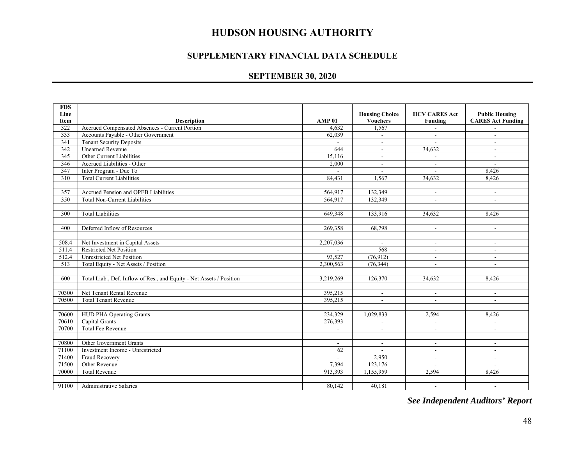#### **SUPPLEMENTARY FINANCIAL DATA SCHEDULE**

## **SEPTEMBER 30, 2020**

| <b>FDS</b>       |                                                                      |                 |                       |                          |                          |
|------------------|----------------------------------------------------------------------|-----------------|-----------------------|--------------------------|--------------------------|
| Line             |                                                                      |                 | <b>Housing Choice</b> | <b>HCV CARES Act</b>     | <b>Public Housing</b>    |
| Item             | <b>Description</b>                                                   | <b>AMP 01</b>   | <b>Vouchers</b>       | Funding                  | <b>CARES Act Funding</b> |
| 322              | Accrued Compensated Absences - Current Portion                       | 4,632           | 1,567                 | $\sim$                   |                          |
| 333              | Accounts Payable - Other Government                                  | 62,039          |                       |                          | $\sim$                   |
| 341              | <b>Tenant Security Deposits</b>                                      |                 |                       | $\sim$                   | $\sim$                   |
| 342              | <b>Unearned Revenue</b>                                              | 644             | ÷.                    | 34,632                   | $\overline{\phantom{a}}$ |
| 345              | Other Current Liabilities                                            | 15,116          | $\sim$                | $\blacksquare$           | $\mathbf{u}$             |
| 346              | Accrued Liabilities - Other                                          | 2,000           | $\blacksquare$        | $\sim$                   | $\sim$                   |
| 347              | Inter Program - Due To                                               |                 | ÷                     | $\sim$                   | 8,426                    |
| 310              | <b>Total Current Liabilities</b>                                     | 84,431          | 1,567                 | 34,632                   | 8,426                    |
|                  |                                                                      |                 |                       |                          |                          |
| 357              | Accrued Pension and OPEB Liabilities                                 | 564,917         | 132,349               |                          | $\sim$                   |
| $\overline{350}$ | <b>Total Non-Current Liabilities</b>                                 | 564,917         | 132,349               |                          | $\mathbf{r}$             |
|                  |                                                                      |                 |                       |                          |                          |
| 300              | <b>Total Liabilities</b>                                             | 649,348         | 133,916               | 34,632                   | 8,426                    |
|                  |                                                                      |                 |                       |                          |                          |
| 400              | Deferred Inflow of Resources                                         | 269,358         | 68,798                | $\blacksquare$           | $\sim$                   |
|                  |                                                                      |                 |                       |                          |                          |
| 508.4            | Net Investment in Capital Assets                                     | 2,207,036       |                       | $\sim$                   | $\overline{\phantom{a}}$ |
| 511.4            | <b>Restricted Net Position</b>                                       |                 | 568                   | $\mathcal{L}$            | $\blacksquare$           |
| 512.4            | <b>Unrestricted Net Position</b>                                     | 93,527          | (76, 912)             | $\sim$                   | $\sim$                   |
| 513              | Total Equity - Net Assets / Position                                 | 2,300,563       | (76, 344)             | $\sim$                   | $\sim$                   |
|                  |                                                                      |                 |                       |                          |                          |
| 600              | Total Liab., Def. Inflow of Res., and Equity - Net Assets / Position | 3,219,269       | 126,370               | 34,632                   | 8,426                    |
|                  |                                                                      |                 |                       |                          |                          |
| 70300            | Net Tenant Rental Revenue                                            | 395,215         |                       |                          |                          |
| 70500            | <b>Total Tenant Revenue</b>                                          | 395,215         | $\sim$                | $\sim$                   | $\sim$                   |
|                  |                                                                      |                 |                       |                          |                          |
| 70600            | HUD PHA Operating Grants                                             | 234,329         | 1,029,833             | 2,594                    | 8,426                    |
| 70610            | Capital Grants                                                       | 276,393         | $\blacksquare$        | $\sim$                   | $\blacksquare$           |
| 70700            | Total Fee Revenue                                                    | $\sim$          | ÷                     | $\sim$                   | $\sim$                   |
|                  |                                                                      |                 |                       |                          |                          |
| 70800            | Other Government Grants                                              | $\sim$          | $\blacksquare$        | $\overline{\phantom{a}}$ | $\sim$                   |
| 71100            | Investment Income - Unrestricted                                     | $\overline{62}$ | $\sim$                | $\mathbf{u}$             | $\mathcal{L}$            |
| 71400            | Fraud Recovery                                                       | $\sim$          | 2,950                 | $\sim$                   | $\mathbf{u}$             |
| 71500            | Other Revenue                                                        | 7,394           | 123,176               | $\sim$                   | $\sim$                   |
| 70000            | <b>Total Revenue</b>                                                 | 913,393         | 1,155,959             | 2,594                    | 8,426                    |
|                  |                                                                      |                 |                       |                          |                          |
| 91100            | <b>Administrative Salaries</b>                                       | 80.142          | 40,181                | $\blacksquare$           | $\mathbf{r}$             |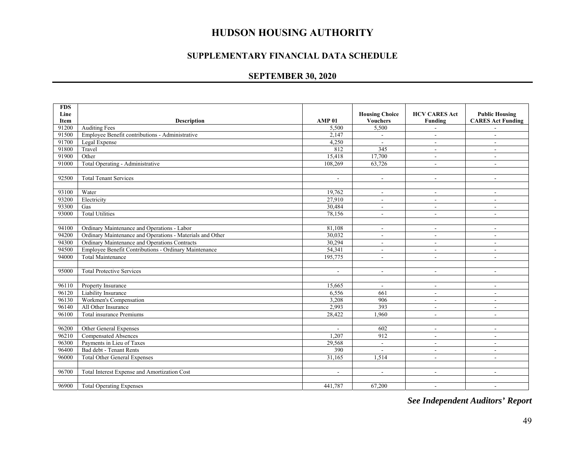#### **SUPPLEMENTARY FINANCIAL DATA SCHEDULE**

## **SEPTEMBER 30, 2020**

| <b>FDS</b> |                                                           |                          |                          |                          |                          |
|------------|-----------------------------------------------------------|--------------------------|--------------------------|--------------------------|--------------------------|
| Line       |                                                           |                          | <b>Housing Choice</b>    | <b>HCV CARES Act</b>     | <b>Public Housing</b>    |
| Item       | <b>Description</b>                                        | <b>AMP 01</b>            | <b>Vouchers</b>          | Funding                  | <b>CARES Act Funding</b> |
| 91200      | <b>Auditing Fees</b>                                      | 5,500                    | 5,500                    | $\blacksquare$           |                          |
| 91500      | Employee Benefit contributions - Administrative           | 2,147                    |                          | $\blacksquare$           | $\blacksquare$           |
| 91700      | Legal Expense                                             | 4,250                    | $\mathbf{r}$             | $\sim$                   | ÷                        |
| 91800      | Travel                                                    | 812                      | 345                      | $\sim$                   | $\sim$                   |
| 91900      | Other                                                     | 15,418                   | 17,700                   | $\sim$                   | $\blacksquare$           |
| 91000      | Total Operating - Administrative                          | 108,269                  | 63,726                   | $\blacksquare$           | $\blacksquare$           |
|            |                                                           |                          |                          |                          |                          |
| 92500      | <b>Total Tenant Services</b>                              | $\sim$                   | $\sim$                   | $\overline{\phantom{a}}$ | $\overline{\phantom{a}}$ |
|            |                                                           |                          |                          |                          |                          |
| 93100      | Water                                                     | 19,762                   | $\overline{\phantom{a}}$ |                          | $\overline{\phantom{a}}$ |
| 93200      | Electricity                                               | 27,910                   | $\sim$                   | $\blacksquare$           | $\blacksquare$           |
| 93300      | Gas                                                       | 30,484                   | $\blacksquare$           | $\blacksquare$           | $\blacksquare$           |
| 93000      | <b>Total Utilities</b>                                    | 78,156                   | $\sim$                   | $\sim$                   | $\sim$                   |
|            |                                                           |                          |                          |                          |                          |
| 94100      | Ordinary Maintenance and Operations - Labor               | 81,108                   | $\blacksquare$           | $\blacksquare$           | $\blacksquare$           |
| 94200      | Ordinary Maintenance and Operations - Materials and Other | 30,032                   | $\mathbf{r}$             | $\blacksquare$           | $\sim$                   |
| 94300      | Ordinary Maintenance and Operations Contracts             | 30,294                   | ÷                        | $\overline{\phantom{a}}$ | $\overline{\phantom{a}}$ |
| 94500      | Employee Benefit Contributions - Ordinary Maintenance     | 54,341                   | $\mathbf{u}$             | $\blacksquare$           | $\blacksquare$           |
| 94000      | <b>Total Maintenance</b>                                  | 195,775                  | $\sim$                   | $\blacksquare$           | $\blacksquare$           |
|            |                                                           |                          |                          |                          |                          |
| 95000      | <b>Total Protective Services</b>                          | $\blacksquare$           | $\blacksquare$           | $\blacksquare$           | $\blacksquare$           |
|            |                                                           |                          |                          |                          |                          |
| 96110      | Property Insurance                                        | 15,665                   | $\sim$                   | $\sim$                   | $\blacksquare$           |
| 96120      | Liability Insurance                                       | 6,556                    | 661                      | $\mathbf{u}$             | $\overline{\phantom{a}}$ |
| 96130      | Workmen's Compensation                                    | 3,208                    | 906                      | $\sim$                   | $\mathbf{r}$             |
| 96140      | All Other Insurance                                       | 2,993                    | 393                      | $\blacksquare$           | $\blacksquare$           |
| 96100      | <b>Total insurance Premiums</b>                           | 28,422                   | 1,960                    | $\overline{\phantom{a}}$ | $\blacksquare$           |
|            |                                                           |                          |                          |                          |                          |
| 96200      | Other General Expenses                                    |                          | 602                      | $\sim$                   | $\mathbf{r}$             |
| 96210      | <b>Compensated Absences</b>                               | 1,207                    | 912                      | $\blacksquare$           | $\blacksquare$           |
| 96300      | Payments in Lieu of Taxes                                 | 29,568                   | $\mathcal{L}^{\pm}$      | $\sim$                   | $\mathcal{L}$            |
| 96400      | Bad debt - Tenant Rents                                   | 390                      | $\sim$                   | $\blacksquare$           | $\blacksquare$           |
| 96000      | <b>Total Other General Expenses</b>                       | 31,165                   | 1,514                    | $\blacksquare$           | $\mathbf{r}$             |
|            |                                                           |                          |                          |                          |                          |
| 96700      | Total Interest Expense and Amortization Cost              | $\overline{\phantom{a}}$ | $\blacksquare$           | $\sim$                   | $\mathbf{u}$             |
|            |                                                           |                          |                          |                          |                          |
| 96900      | <b>Total Operating Expenses</b>                           | 441,787                  | 67,200                   | $\sim$                   | $\blacksquare$           |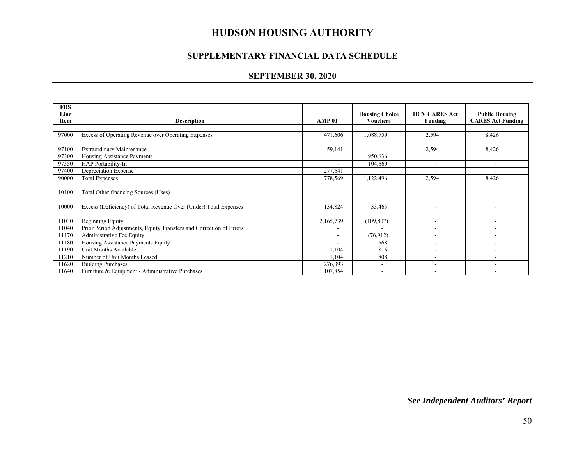#### **SUPPLEMENTARY FINANCIAL DATA SCHEDULE**

## **SEPTEMBER 30, 2020**

| <b>FDS</b><br>Line |                                                                     |                          | <b>Housing Choice</b> | <b>HCV CARES Act</b>     | <b>Public Housing</b>    |
|--------------------|---------------------------------------------------------------------|--------------------------|-----------------------|--------------------------|--------------------------|
| Item               | <b>Description</b>                                                  | <b>AMP 01</b>            | <b>Vouchers</b>       | Funding                  | <b>CARES Act Funding</b> |
|                    |                                                                     |                          |                       |                          |                          |
| 97000              | Excess of Operating Revenue over Operating Expenses                 | 471,606                  | 1,088,759             | 2,594                    | 8,426                    |
|                    |                                                                     |                          |                       |                          |                          |
| 97100              | <b>Extraordinary Maintenance</b>                                    | 59,141                   |                       | 2,594                    | 8,426                    |
| 97300              | Housing Assistance Payments                                         |                          | 950,636               |                          | ٠                        |
| 97350              | HAP Portability-In                                                  |                          | 104,660               |                          | ٠                        |
| 97400              | Depreciation Expense                                                | 277,641                  |                       |                          | ۰                        |
| 90000              | <b>Total Expenses</b>                                               | 778,569                  | 1,122,496             | 2,594                    | 8,426                    |
|                    |                                                                     |                          |                       |                          |                          |
| 10100              | Total Other financing Sources (Uses)                                | $\sim$                   | $\sim$                | $\overline{\phantom{a}}$ | $\blacksquare$           |
|                    |                                                                     |                          |                       |                          |                          |
| 10000              | Excess (Deficiency) of Total Revenue Over (Under) Total Expenses    | 134,824                  | 33,463                |                          |                          |
|                    |                                                                     |                          |                       |                          |                          |
| 11030              | <b>Beginning Equity</b>                                             | 2,165,739                | (109, 807)            | $\blacksquare$           | ٠                        |
| 11040              | Prior Period Adjustments, Equity Transfers and Correction of Errors | $\overline{\phantom{a}}$ |                       |                          | ۰                        |
| 11170              | Administrative Fee Equity                                           |                          | (76, 912)             |                          | ٠                        |
| 11180              | Housing Assistance Payments Equity                                  |                          | 568                   | $\overline{\phantom{a}}$ |                          |
| 11190              | Unit Months Available                                               | 1,104                    | 816                   |                          |                          |
| 11210              | Number of Unit Months Leased                                        | 1.104                    | 808                   |                          |                          |
| 11620              | <b>Building Purchases</b>                                           | 276,393                  |                       |                          | ٠                        |
| 11640              | Furniture & Equipment - Administrative Purchases                    | 107,854                  |                       |                          |                          |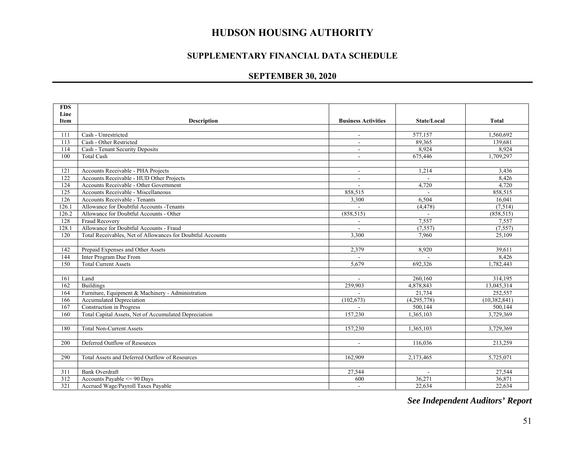#### **SUPPLEMENTARY FINANCIAL DATA SCHEDULE**

## **SEPTEMBER 30, 2020**

| <b>FDS</b>       |                                                            |                            |                 |                  |
|------------------|------------------------------------------------------------|----------------------------|-----------------|------------------|
| Line             |                                                            |                            |                 |                  |
| Item             | <b>Description</b>                                         | <b>Business Activities</b> | State/Local     | <b>Total</b>     |
|                  | Cash - Unrestricted                                        |                            | 577,157         | 1,560,692        |
| 111<br>113       |                                                            |                            |                 |                  |
|                  | Cash - Other Restricted                                    |                            | 89,365<br>8.924 | 139,681<br>8.924 |
| 114<br>100       | Cash - Tenant Security Deposits                            | $\sim$                     |                 |                  |
|                  | <b>Total Cash</b>                                          | $\overline{\phantom{a}}$   | 675,446         | 1,709,297        |
| 121              | Accounts Receivable - PHA Projects                         | $\overline{\phantom{a}}$   | 1,214           | 3,436            |
| 122              | Accounts Receivable - HUD Other Projects                   | $\sim$                     | $\sim$          | 8,426            |
| 124              | Accounts Receivable - Other Government                     |                            | 4,720           | 4,720            |
| 125              | Accounts Receivable - Miscellaneous                        | 858,515                    | $\sim$          | 858,515          |
| 126              | Accounts Receivable - Tenants                              | 3,300                      | 6,504           | 16,041           |
| 126.1            | Allowance for Doubtful Accounts -Tenants                   |                            | (4, 478)        | (7,514)          |
| 126.2            | Allowance for Doubtful Accounts - Other                    | (858, 515)                 |                 | (858, 515)       |
| 128              | Fraud Recovery                                             | $\blacksquare$             | 7.557           | 7,557            |
| 128.1            | Allowance for Doubtful Accounts - Fraud                    |                            | (7,557)         | (7,557)          |
| 120              | Total Receivables, Net of Allowances for Doubtful Accounts | 3.300                      | 7,960           | 25,109           |
|                  |                                                            |                            |                 |                  |
| 142              | Prepaid Expenses and Other Assets                          | 2,379                      | 8,920           | 39,611           |
| 144              | Inter Program Due From                                     | $\blacksquare$             | $\sim$          | 8,426            |
| 150              | <b>Total Current Assets</b>                                | 5.679                      | 692,326         | 1,782,443        |
|                  |                                                            |                            |                 |                  |
| 161              | Land                                                       | $\blacksquare$             | 260,160         | 314,195          |
| 162              | <b>Buildings</b>                                           | 259,903                    | 4,878,843       | 13,045,314       |
| 164              | Furniture, Equipment & Machinery - Administration          |                            | 21,734          | 252,557          |
| 166              | <b>Accumulated Depreciation</b>                            | (102, 673)                 | (4,295,778)     | (10, 382, 841)   |
| $\overline{167}$ | Construction in Progress                                   |                            | 500,144         | 500,144          |
| 160              | Total Capital Assets, Net of Accumulated Depreciation      | 157,230                    | 1,365,103       | 3,729,369        |
|                  |                                                            |                            |                 |                  |
| 180              | <b>Total Non-Current Assets</b>                            | 157,230                    | 1.365.103       | 3,729,369        |
|                  |                                                            |                            |                 |                  |
| 200              | Deferred Outflow of Resources                              | ÷.                         | 116,036         | 213,259          |
|                  |                                                            |                            |                 |                  |
| 290              | Total Assets and Deferred Outflow of Resources             | 162,909                    | 2,173,465       | 5,725,071        |
|                  |                                                            |                            |                 |                  |
| 311              | <b>Bank Overdraft</b>                                      | 27,544                     | $\sim$          | 27,544           |
| 312              | Accounts Payable $\leq$ 90 Days                            | 600                        | 36,271          | 36,871           |
| 321              | Accrued Wage/Payroll Taxes Payable                         | $\blacksquare$             | 22,634          | 22,634           |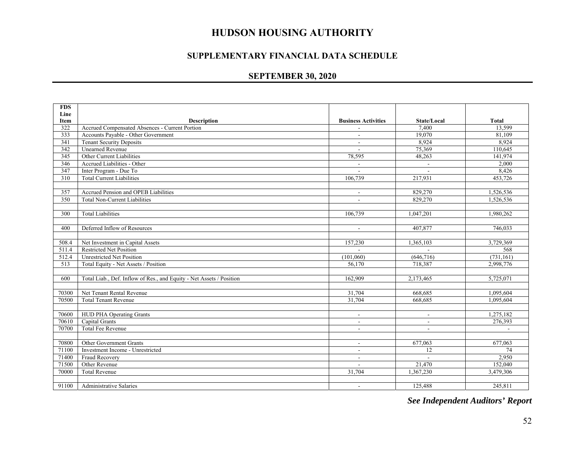### **SUPPLEMENTARY FINANCIAL DATA SCHEDULE**

## **SEPTEMBER 30, 2020**

| <b>FDS</b> |                                                                      |                            |             |              |
|------------|----------------------------------------------------------------------|----------------------------|-------------|--------------|
| Line       |                                                                      |                            |             |              |
| Item       | <b>Description</b>                                                   | <b>Business Activities</b> | State/Local | <b>Total</b> |
| 322        | Accrued Compensated Absences - Current Portion                       |                            | 7.400       | 13,599       |
| 333        | Accounts Payable - Other Government                                  |                            | 19,070      | 81,109       |
| 341        | <b>Tenant Security Deposits</b>                                      | $\overline{a}$             | 8,924       | 8,924        |
| 342        | <b>Unearned Revenue</b>                                              | $\mathbf{r}$               | 75,369      | 110,645      |
| 345        | Other Current Liabilities                                            | 78,595                     | 48,263      | 141,974      |
| 346        | Accrued Liabilities - Other                                          | $\mathbf{u}$               | $\sim$      | 2,000        |
| 347        | Inter Program - Due To                                               | ÷.                         | $\sim$      | 8,426        |
| 310        | <b>Total Current Liabilities</b>                                     | 106,739                    | 217,931     | 453,726      |
|            |                                                                      |                            |             |              |
| 357        | Accrued Pension and OPEB Liabilities                                 | $\overline{a}$             | 829,270     | 1,526,536    |
| 350        | <b>Total Non-Current Liabilities</b>                                 | $\sim$                     | 829,270     | 1,526,536    |
|            |                                                                      |                            |             |              |
| 300        | <b>Total Liabilities</b>                                             | 106,739                    | 1,047,201   | 1,980,262    |
|            |                                                                      |                            |             |              |
| 400        | Deferred Inflow of Resources                                         | $\blacksquare$             | 407,877     | 746,033      |
|            |                                                                      |                            |             |              |
| 508.4      | Net Investment in Capital Assets                                     | 157,230                    | 1,365,103   | 3,729,369    |
| 511.4      | <b>Restricted Net Position</b>                                       | $\overline{a}$             | $\sim$      | 568          |
| 512.4      | <b>Unrestricted Net Position</b>                                     | (101,060)                  | (646, 716)  | (731, 161)   |
| 513        | Total Equity - Net Assets / Position                                 | 56,170                     | 718,387     | 2,998,776    |
|            |                                                                      |                            |             |              |
| 600        | Total Liab., Def. Inflow of Res., and Equity - Net Assets / Position | 162,909                    | 2,173,465   | 5,725,071    |
|            |                                                                      |                            |             |              |
| 70300      | Net Tenant Rental Revenue                                            | 31,704                     | 668,685     | 1,095,604    |
| 70500      | <b>Total Tenant Revenue</b>                                          | 31,704                     | 668,685     | 1,095,604    |
|            |                                                                      |                            |             |              |
| 70600      | HUD PHA Operating Grants                                             | $\mathcal{L}$              | $\sim$      | 1,275,182    |
| 70610      | Capital Grants                                                       | ÷                          | $\sim$      | 276,393      |
| 70700      | <b>Total Fee Revenue</b>                                             | $\sim$                     | $\sim$      |              |
|            |                                                                      |                            |             |              |
| 70800      | Other Government Grants                                              | ÷                          | 677,063     | 677,063      |
| 71100      | Investment Income - Unrestricted                                     | $\blacksquare$             | 12          | 74           |
| 71400      | Fraud Recovery                                                       | $\sim$                     | $\sim$      | 2,950        |
| 71500      | Other Revenue                                                        | $\blacksquare$             | 21,470      | 152,040      |
| 70000      | <b>Total Revenue</b>                                                 | 31,704                     | 1,367,230   | 3,479,306    |
|            |                                                                      |                            |             |              |
| 91100      | Administrative Salaries                                              | $\sim$                     | 125,488     | 245,811      |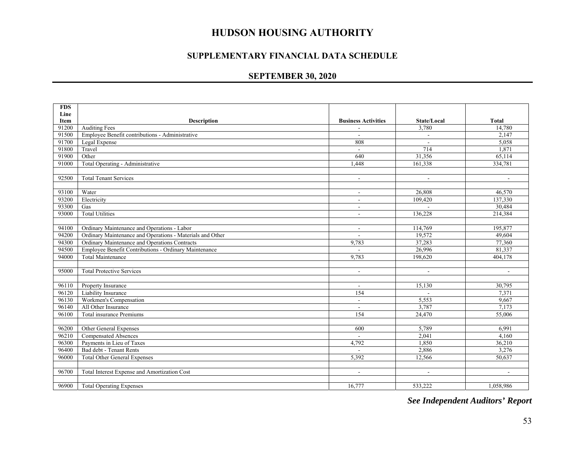#### **SUPPLEMENTARY FINANCIAL DATA SCHEDULE**

## **SEPTEMBER 30, 2020**

| <b>FDS</b> |                                                           |                            |              |                |
|------------|-----------------------------------------------------------|----------------------------|--------------|----------------|
| Line       |                                                           |                            |              |                |
| Item       | <b>Description</b>                                        | <b>Business Activities</b> | State/Local  | <b>Total</b>   |
| 91200      | <b>Auditing Fees</b>                                      |                            | 3,780        | 14,780         |
| 91500      | Employee Benefit contributions - Administrative           | L.                         | $\equiv$     | 2,147          |
| 91700      | Legal Expense                                             | 808                        | $\mathbf{r}$ | 5,058          |
| 91800      | Travel                                                    | $\sim$                     | 714          | 1.871          |
| 91900      | Other                                                     | 640                        | 31,356       | 65,114         |
| 91000      | Total Operating - Administrative                          | 1,448                      | 161,338      | 334,781        |
|            |                                                           |                            |              |                |
| 92500      | <b>Total Tenant Services</b>                              | $\sim$                     | $\sim$       | ÷.             |
|            |                                                           |                            |              |                |
| 93100      | Water                                                     | $\sim$                     | 26,808       | 46,570         |
| 93200      | Electricity                                               | $\sim$                     | 109,420      | 137,330        |
| 93300      | Gas                                                       | $\overline{\phantom{a}}$   |              | 30,484         |
| 93000      | <b>Total Utilities</b>                                    | $\sim$                     | 136,228      | 214,384        |
|            |                                                           |                            |              |                |
| 94100      | Ordinary Maintenance and Operations - Labor               | $\overline{\phantom{a}}$   | 114,769      | 195,877        |
| 94200      | Ordinary Maintenance and Operations - Materials and Other |                            | 19,572       | 49,604         |
| 94300      | Ordinary Maintenance and Operations Contracts             | 9,783                      | 37,283       | 77,360         |
| 94500      | Employee Benefit Contributions - Ordinary Maintenance     | $\mathbf{r}$               | 26,996       | 81,337         |
| 94000      | <b>Total Maintenance</b>                                  | 9,783                      | 198,620      | 404,178        |
|            |                                                           |                            |              |                |
| 95000      | <b>Total Protective Services</b>                          | $\sim$                     | $\sim$       | ÷.             |
|            |                                                           |                            |              |                |
| 96110      | Property Insurance                                        | $\overline{a}$             | 15,130       | 30,795         |
| 96120      | Liability Insurance                                       | 154                        | $\sim$       | 7,371          |
| 96130      | Workmen's Compensation                                    | $\sim$                     | 5,553        | 9,667          |
| 96140      | All Other Insurance                                       | $\sim$                     | 3,787        | 7,173          |
| 96100      | <b>Total insurance Premiums</b>                           | 154                        | 24,470       | 55,006         |
|            |                                                           |                            |              |                |
| 96200      | Other General Expenses                                    | 600                        | 5,789        | 6,991          |
| 96210      | <b>Compensated Absences</b>                               | ÷.                         | 2,041        | 4,160          |
| 96300      | Payments in Lieu of Taxes                                 | 4,792                      | 1,850        | 36,210         |
| 96400      | Bad debt - Tenant Rents                                   | $\mathbf{r}$               | 2,886        | 3,276          |
| 96000      | <b>Total Other General Expenses</b>                       | 5,392                      | 12,566       | 50,637         |
|            |                                                           |                            |              |                |
| 96700      | Total Interest Expense and Amortization Cost              | $\overline{\phantom{a}}$   | $\sim$       | $\blacksquare$ |
|            |                                                           |                            |              |                |
| 96900      | <b>Total Operating Expenses</b>                           | 16,777                     | 533,222      | 1,058,986      |
|            |                                                           |                            |              |                |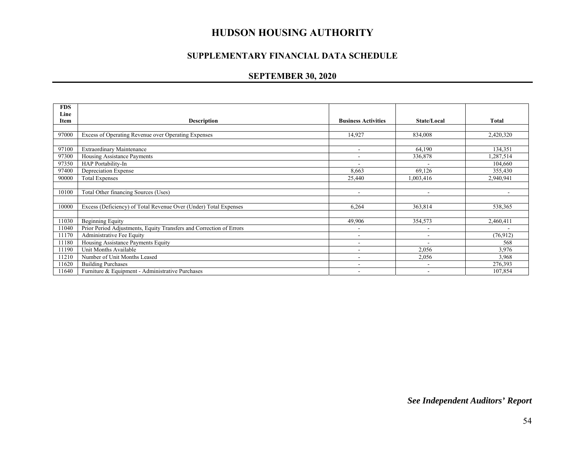#### **SUPPLEMENTARY FINANCIAL DATA SCHEDULE**

## **SEPTEMBER 30, 2020**

| <b>FDS</b>   |                                                                     |                            |                          |                |
|--------------|---------------------------------------------------------------------|----------------------------|--------------------------|----------------|
| Line<br>Item | <b>Description</b>                                                  | <b>Business Activities</b> | State/Local              | Total          |
|              |                                                                     |                            |                          |                |
| 97000        | Excess of Operating Revenue over Operating Expenses                 | 14,927                     | 834,008                  | 2,420,320      |
|              |                                                                     |                            |                          |                |
| 97100        | Extraordinary Maintenance                                           | $\sim$                     | 64,190                   | 134,351        |
| 97300        | Housing Assistance Payments                                         | $\overline{\phantom{a}}$   | 336,878                  | 1,287,514      |
| 97350        | HAP Portability-In                                                  |                            |                          | 104,660        |
| 97400        | Depreciation Expense                                                | 8,663                      | 69,126                   | 355,430        |
| 90000        | <b>Total Expenses</b>                                               | 25,440                     | 1,003,416                | 2,940,941      |
|              |                                                                     |                            |                          |                |
| 10100        | <b>Total Other financing Sources (Uses)</b>                         | $\overline{\phantom{a}}$   | $\overline{\phantom{a}}$ |                |
|              |                                                                     |                            |                          |                |
| 10000        | Excess (Deficiency) of Total Revenue Over (Under) Total Expenses    | 6,264                      | 363,814                  | 538,365        |
|              |                                                                     |                            |                          |                |
| 11030        | <b>Beginning Equity</b>                                             | 49,906                     | 354,573                  | 2,460,411      |
| 11040        | Prior Period Adjustments, Equity Transfers and Correction of Errors |                            | ٠                        | $\blacksquare$ |
| 11170        | Administrative Fee Equity                                           | $\sim$                     | ۰                        | (76, 912)      |
| 11180        | Housing Assistance Payments Equity                                  | $\overline{\phantom{a}}$   |                          | 568            |
| 11190        | Unit Months Available                                               |                            | 2,056                    | 3,976          |
| 11210        | Number of Unit Months Leased                                        |                            | 2,056                    | 3,968          |
| 11620        | <b>Building Purchases</b>                                           |                            | ۰                        | 276,393        |
| 11640        | Furniture & Equipment - Administrative Purchases                    | $\overline{\phantom{a}}$   | ۰                        | 107,854        |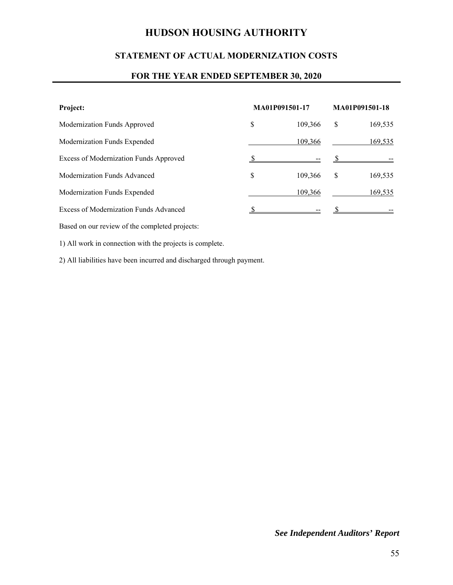## **STATEMENT OF ACTUAL MODERNIZATION COSTS**

## **FOR THE YEAR ENDED SEPTEMBER 30, 2020**

| Project:                               | <b>MA01P091501-17</b> |         | <b>MA01P091501-18</b> |         |
|----------------------------------------|-----------------------|---------|-----------------------|---------|
| Modernization Funds Approved           | \$                    | 109,366 | \$                    | 169,535 |
| Modernization Funds Expended           |                       | 109,366 |                       | 169,535 |
| Excess of Modernization Funds Approved |                       |         |                       |         |
| Modernization Funds Advanced           | S                     | 109,366 | S                     | 169,535 |
| Modernization Funds Expended           |                       | 109,366 |                       | 169,535 |
| Excess of Modernization Funds Advanced |                       |         |                       |         |

Based on our review of the completed projects:

1) All work in connection with the projects is complete.

2) All liabilities have been incurred and discharged through payment.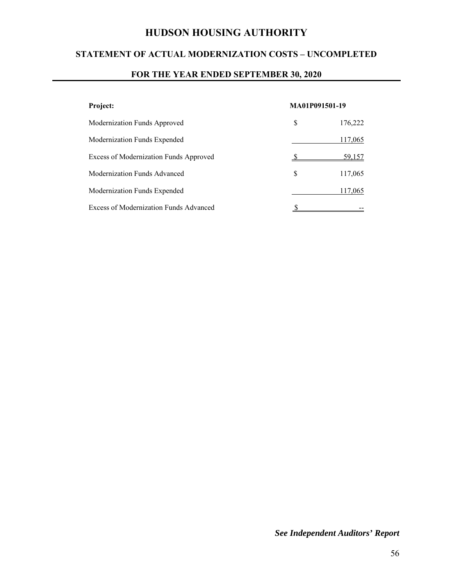## **STATEMENT OF ACTUAL MODERNIZATION COSTS – UNCOMPLETED**

## **FOR THE YEAR ENDED SEPTEMBER 30, 2020**

| <b>Project:</b>                        | MA01P091501-19 |         |
|----------------------------------------|----------------|---------|
| Modernization Funds Approved           | S              | 176,222 |
| Modernization Funds Expended           |                | 117,065 |
| Excess of Modernization Funds Approved |                | 59.157  |
| Modernization Funds Advanced           | S              | 117,065 |
| Modernization Funds Expended           |                | 117,065 |
| Excess of Modernization Funds Advanced |                |         |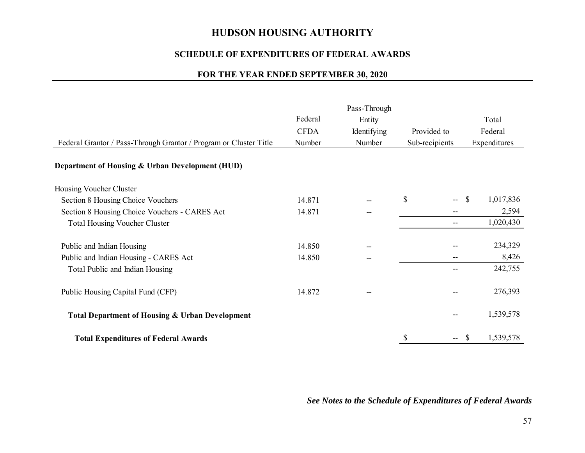### **SCHEDULE OF EXPENDITURES OF FEDERAL AWARDS**

## **FOR THE YEAR ENDED SEPTEMBER 30, 2020**

|                                                                   |             | Pass-Through |    |                |               |              |
|-------------------------------------------------------------------|-------------|--------------|----|----------------|---------------|--------------|
|                                                                   | Federal     | Entity       |    |                |               | Total        |
|                                                                   | <b>CFDA</b> | Identifying  |    | Provided to    |               | Federal      |
| Federal Grantor / Pass-Through Grantor / Program or Cluster Title | Number      | Number       |    | Sub-recipients |               | Expenditures |
|                                                                   |             |              |    |                |               |              |
| Department of Housing & Urban Development (HUD)                   |             |              |    |                |               |              |
| Housing Voucher Cluster                                           |             |              |    |                |               |              |
| Section 8 Housing Choice Vouchers                                 | 14.871      |              | \$ | --             | <sup>\$</sup> | 1,017,836    |
| Section 8 Housing Choice Vouchers - CARES Act                     | 14.871      |              |    | --             |               | 2,594        |
| <b>Total Housing Voucher Cluster</b>                              |             |              |    | $-$            |               | 1,020,430    |
| Public and Indian Housing                                         | 14.850      |              |    |                |               | 234,329      |
| Public and Indian Housing - CARES Act                             | 14.850      |              |    |                |               | 8,426        |
| Total Public and Indian Housing                                   |             |              |    | $-$            |               | 242,755      |
| Public Housing Capital Fund (CFP)                                 | 14.872      |              |    |                |               | 276,393      |
| <b>Total Department of Housing &amp; Urban Development</b>        |             |              |    | $- -$          |               | 1,539,578    |
| <b>Total Expenditures of Federal Awards</b>                       |             |              | S  | $- -$          | -S            | 1,539,578    |

*See Notes to the Schedule of Expenditures of Federal Awards*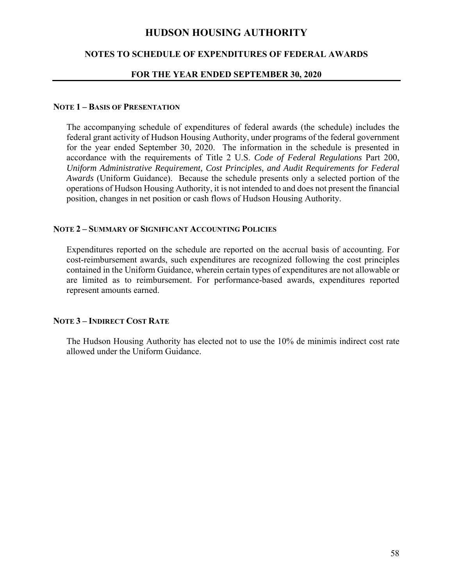#### **NOTES TO SCHEDULE OF EXPENDITURES OF FEDERAL AWARDS**

#### **FOR THE YEAR ENDED SEPTEMBER 30, 2020**

#### **NOTE 1 – BASIS OF PRESENTATION**

The accompanying schedule of expenditures of federal awards (the schedule) includes the federal grant activity of Hudson Housing Authority, under programs of the federal government for the year ended September 30, 2020. The information in the schedule is presented in accordance with the requirements of Title 2 U.S. *Code of Federal Regulations* Part 200, *Uniform Administrative Requirement, Cost Principles, and Audit Requirements for Federal Awards* (Uniform Guidance). Because the schedule presents only a selected portion of the operations of Hudson Housing Authority, it is not intended to and does not present the financial position, changes in net position or cash flows of Hudson Housing Authority.

### **NOTE 2 – SUMMARY OF SIGNIFICANT ACCOUNTING POLICIES**

Expenditures reported on the schedule are reported on the accrual basis of accounting. For cost-reimbursement awards, such expenditures are recognized following the cost principles contained in the Uniform Guidance, wherein certain types of expenditures are not allowable or are limited as to reimbursement. For performance-based awards, expenditures reported represent amounts earned.

#### **NOTE 3 – INDIRECT COST RATE**

The Hudson Housing Authority has elected not to use the 10% de minimis indirect cost rate allowed under the Uniform Guidance.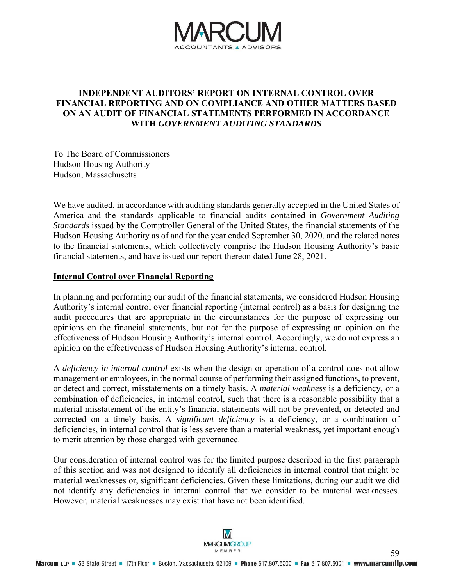

## **INDEPENDENT AUDITORS' REPORT ON INTERNAL CONTROL OVER FINANCIAL REPORTING AND ON COMPLIANCE AND OTHER MATTERS BASED ON AN AUDIT OF FINANCIAL STATEMENTS PERFORMED IN ACCORDANCE WITH** *GOVERNMENT AUDITING STANDARDS*

To The Board of Commissioners Hudson Housing Authority Hudson, Massachusetts

We have audited, in accordance with auditing standards generally accepted in the United States of America and the standards applicable to financial audits contained in *Government Auditing Standards* issued by the Comptroller General of the United States, the financial statements of the Hudson Housing Authority as of and for the year ended September 30, 2020, and the related notes to the financial statements, which collectively comprise the Hudson Housing Authority's basic financial statements, and have issued our report thereon dated June 28, 2021.

#### **Internal Control over Financial Reporting**

In planning and performing our audit of the financial statements, we considered Hudson Housing Authority's internal control over financial reporting (internal control) as a basis for designing the audit procedures that are appropriate in the circumstances for the purpose of expressing our opinions on the financial statements, but not for the purpose of expressing an opinion on the effectiveness of Hudson Housing Authority's internal control. Accordingly, we do not express an opinion on the effectiveness of Hudson Housing Authority's internal control.

A *deficiency in internal control* exists when the design or operation of a control does not allow management or employees, in the normal course of performing their assigned functions, to prevent, or detect and correct, misstatements on a timely basis. A *material weakness* is a deficiency, or a combination of deficiencies, in internal control, such that there is a reasonable possibility that a material misstatement of the entity's financial statements will not be prevented, or detected and corrected on a timely basis. A *significant deficiency* is a deficiency, or a combination of deficiencies, in internal control that is less severe than a material weakness, yet important enough to merit attention by those charged with governance.

Our consideration of internal control was for the limited purpose described in the first paragraph of this section and was not designed to identify all deficiencies in internal control that might be material weaknesses or, significant deficiencies. Given these limitations, during our audit we did not identify any deficiencies in internal control that we consider to be material weaknesses. However, material weaknesses may exist that have not been identified.



59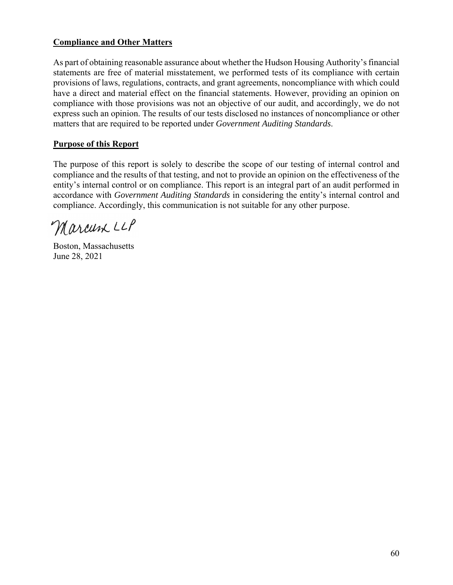## **Compliance and Other Matters**

As part of obtaining reasonable assurance about whether the Hudson Housing Authority's financial statements are free of material misstatement, we performed tests of its compliance with certain provisions of laws, regulations, contracts, and grant agreements, noncompliance with which could have a direct and material effect on the financial statements. However, providing an opinion on compliance with those provisions was not an objective of our audit, and accordingly, we do not express such an opinion. The results of our tests disclosed no instances of noncompliance or other matters that are required to be reported under *Government Auditing Standards*.

## **Purpose of this Report**

The purpose of this report is solely to describe the scope of our testing of internal control and compliance and the results of that testing, and not to provide an opinion on the effectiveness of the entity's internal control or on compliance. This report is an integral part of an audit performed in accordance with *Government Auditing Standards* in considering the entity's internal control and compliance. Accordingly, this communication is not suitable for any other purpose.

Marcum LLP

Boston, Massachusetts June 28, 2021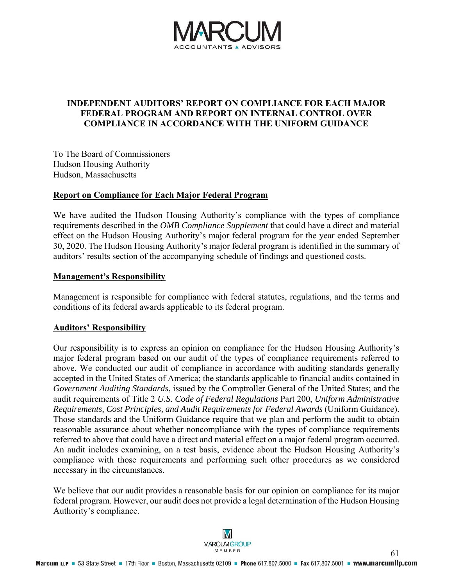

## **INDEPENDENT AUDITORS' REPORT ON COMPLIANCE FOR EACH MAJOR FEDERAL PROGRAM AND REPORT ON INTERNAL CONTROL OVER COMPLIANCE IN ACCORDANCE WITH THE UNIFORM GUIDANCE**

To The Board of Commissioners Hudson Housing Authority Hudson, Massachusetts

#### **Report on Compliance for Each Major Federal Program**

We have audited the Hudson Housing Authority's compliance with the types of compliance requirements described in the *OMB Compliance Supplement* that could have a direct and material effect on the Hudson Housing Authority's major federal program for the year ended September 30, 2020. The Hudson Housing Authority's major federal program is identified in the summary of auditors' results section of the accompanying schedule of findings and questioned costs.

#### **Management's Responsibility**

Management is responsible for compliance with federal statutes, regulations, and the terms and conditions of its federal awards applicable to its federal program.

### **Auditors' Responsibility**

Our responsibility is to express an opinion on compliance for the Hudson Housing Authority's major federal program based on our audit of the types of compliance requirements referred to above. We conducted our audit of compliance in accordance with auditing standards generally accepted in the United States of America; the standards applicable to financial audits contained in *Government Auditing Standards*, issued by the Comptroller General of the United States; and the audit requirements of Title 2 *U.S. Code of Federal Regulations* Part 200, *Uniform Administrative Requirements, Cost Principles, and Audit Requirements for Federal Awards* (Uniform Guidance). Those standards and the Uniform Guidance require that we plan and perform the audit to obtain reasonable assurance about whether noncompliance with the types of compliance requirements referred to above that could have a direct and material effect on a major federal program occurred. An audit includes examining, on a test basis, evidence about the Hudson Housing Authority's compliance with those requirements and performing such other procedures as we considered necessary in the circumstances.

We believe that our audit provides a reasonable basis for our opinion on compliance for its major federal program. However, our audit does not provide a legal determination of the Hudson Housing Authority's compliance.



61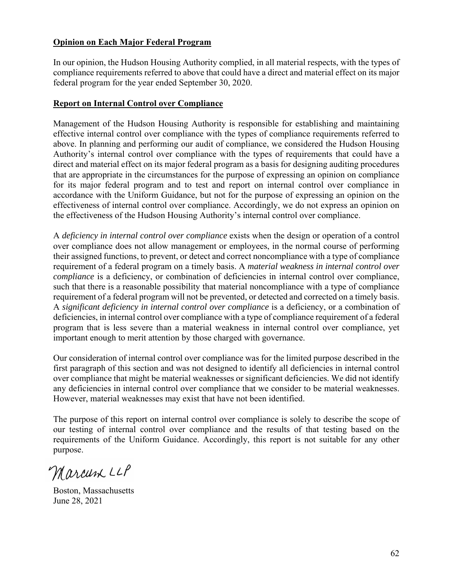## **Opinion on Each Major Federal Program**

In our opinion, the Hudson Housing Authority complied, in all material respects, with the types of compliance requirements referred to above that could have a direct and material effect on its major federal program for the year ended September 30, 2020.

### **Report on Internal Control over Compliance**

Management of the Hudson Housing Authority is responsible for establishing and maintaining effective internal control over compliance with the types of compliance requirements referred to above. In planning and performing our audit of compliance, we considered the Hudson Housing Authority's internal control over compliance with the types of requirements that could have a direct and material effect on its major federal program as a basis for designing auditing procedures that are appropriate in the circumstances for the purpose of expressing an opinion on compliance for its major federal program and to test and report on internal control over compliance in accordance with the Uniform Guidance, but not for the purpose of expressing an opinion on the effectiveness of internal control over compliance. Accordingly, we do not express an opinion on the effectiveness of the Hudson Housing Authority's internal control over compliance.

A *deficiency in internal control over compliance* exists when the design or operation of a control over compliance does not allow management or employees, in the normal course of performing their assigned functions, to prevent, or detect and correct noncompliance with a type of compliance requirement of a federal program on a timely basis. A *material weakness in internal control over compliance* is a deficiency, or combination of deficiencies in internal control over compliance, such that there is a reasonable possibility that material noncompliance with a type of compliance requirement of a federal program will not be prevented, or detected and corrected on a timely basis. A *significant deficiency in internal control over compliance* is a deficiency, or a combination of deficiencies, in internal control over compliance with a type of compliance requirement of a federal program that is less severe than a material weakness in internal control over compliance, yet important enough to merit attention by those charged with governance.

Our consideration of internal control over compliance was for the limited purpose described in the first paragraph of this section and was not designed to identify all deficiencies in internal control over compliance that might be material weaknesses or significant deficiencies. We did not identify any deficiencies in internal control over compliance that we consider to be material weaknesses. However, material weaknesses may exist that have not been identified.

The purpose of this report on internal control over compliance is solely to describe the scope of our testing of internal control over compliance and the results of that testing based on the requirements of the Uniform Guidance. Accordingly, this report is not suitable for any other purpose.

Marcum LLP

Boston, Massachusetts June 28, 2021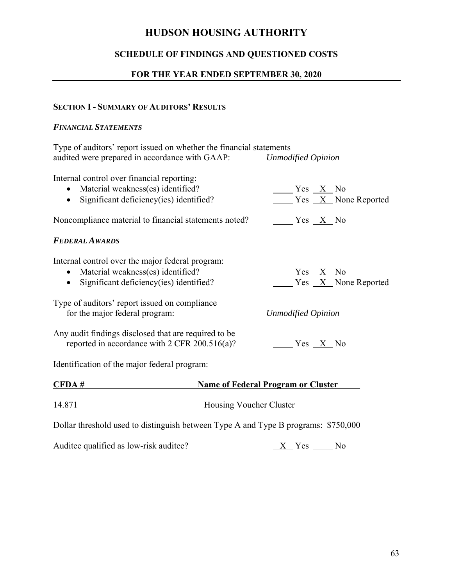## **SCHEDULE OF FINDINGS AND QUESTIONED COSTS**

## **FOR THE YEAR ENDED SEPTEMBER 30, 2020**

## **SECTION I - SUMMARY OF AUDITORS' RESULTS**

#### *FINANCIAL STATEMENTS*

Type of auditors' report issued on whether the financial statements audited were prepared in accordance with GAAP: *Unmodified Opinion*

Internal control over financial reporting:

| CFDA#                                                                                                                                           | <b>Name of Federal Program or Cluster</b>    |
|-------------------------------------------------------------------------------------------------------------------------------------------------|----------------------------------------------|
| Identification of the major federal program:                                                                                                    |                                              |
| Any audit findings disclosed that are required to be<br>reported in accordance with 2 CFR $200.516(a)$ ?                                        | $Yes$ X No                                   |
| Type of auditors' report issued on compliance<br>for the major federal program:                                                                 | <b>Unmodified Opinion</b>                    |
| Internal control over the major federal program:<br>• Material weakness(es) identified?<br>Significant deficiency(ies) identified?<br>$\bullet$ | $\frac{X}{X}$ No<br>$Yes \; X$ None Reported |
| <b>FEDERAL AWARDS</b>                                                                                                                           |                                              |
| Noncompliance material to financial statements noted?                                                                                           | Yes X No                                     |
| Material weakness(es) identified?<br>Significant deficiency(ies) identified?<br>$\bullet$                                                       | $Yes$ X No<br>$\frac{X}{X}$ None Reported    |
|                                                                                                                                                 |                                              |

| 14.871 | Housing Voucher Cluster |
|--------|-------------------------|

Dollar threshold used to distinguish between Type A and Type B programs: \$750,000

Auditee qualified as low-risk auditee?  $\frac{X}{X}$  Yes  $\frac{N}{X}$  No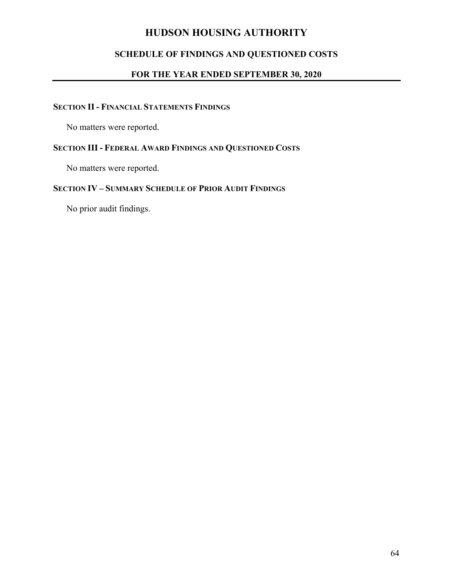## **SCHEDULE OF FINDINGS AND QUESTIONED COSTS**

## **FOR THE YEAR ENDED SEPTEMBER 30, 2020**

## **SECTION II - FINANCIAL STATEMENTS FINDINGS**

No matters were reported.

## **SECTION III - FEDERAL AWARD FINDINGS AND QUESTIONED COSTS**

No matters were reported.

## **SECTION IV – SUMMARY SCHEDULE OF PRIOR AUDIT FINDINGS**

No prior audit findings.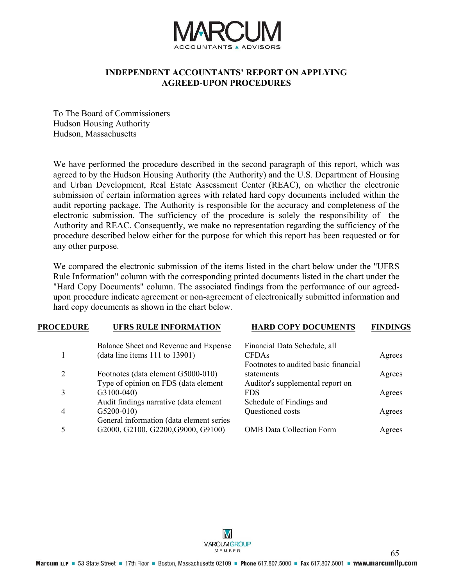

### **INDEPENDENT ACCOUNTANTS' REPORT ON APPLYING AGREED-UPON PROCEDURES**

To The Board of Commissioners Hudson Housing Authority Hudson, Massachusetts

We have performed the procedure described in the second paragraph of this report, which was agreed to by the Hudson Housing Authority (the Authority) and the U.S. Department of Housing and Urban Development, Real Estate Assessment Center (REAC), on whether the electronic submission of certain information agrees with related hard copy documents included within the audit reporting package. The Authority is responsible for the accuracy and completeness of the electronic submission. The sufficiency of the procedure is solely the responsibility of the Authority and REAC. Consequently, we make no representation regarding the sufficiency of the procedure described below either for the purpose for which this report has been requested or for any other purpose.

We compared the electronic submission of the items listed in the chart below under the "UFRS Rule Information" column with the corresponding printed documents listed in the chart under the "Hard Copy Documents" column. The associated findings from the performance of our agreedupon procedure indicate agreement or non-agreement of electronically submitted information and hard copy documents as shown in the chart below.

| <b>PROCEDURE</b> | <b>UFRS RULE INFORMATION</b>             | <b>HARD COPY DOCUMENTS</b>           | <b>FINDINGS</b> |
|------------------|------------------------------------------|--------------------------------------|-----------------|
|                  | Balance Sheet and Revenue and Expense    | Financial Data Schedule, all         |                 |
|                  | (data line items $111$ to $13901$ )      | <b>CFDAs</b>                         | Agrees          |
|                  |                                          | Footnotes to audited basic financial |                 |
| 2                | Footnotes (data element G5000-010)       | statements                           | Agrees          |
|                  | Type of opinion on FDS (data element     | Auditor's supplemental report on     |                 |
| 3                | $G3100-040$                              | <b>FDS</b>                           | Agrees          |
|                  | Audit findings narrative (data element   | Schedule of Findings and             |                 |
| $\overline{4}$   | $G5200-010$                              | Questioned costs                     | Agrees          |
|                  | General information (data element series |                                      |                 |
| 5                | G2000, G2100, G2200, G9000, G9100)       | <b>OMB</b> Data Collection Form      | Agrees          |
|                  |                                          |                                      |                 |



65